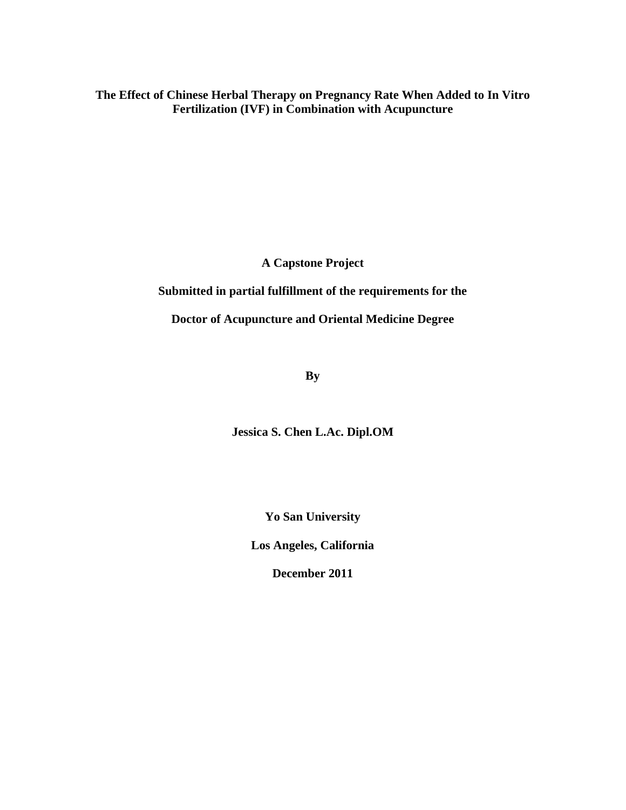**The Effect of Chinese Herbal Therapy on Pregnancy Rate When Added to In Vitro Fertilization (IVF) in Combination with Acupuncture**

**A Capstone Project**

**Submitted in partial fulfillment of the requirements for the**

**Doctor of Acupuncture and Oriental Medicine Degree**

**By**

**Jessica S. Chen L.Ac. Dipl.OM**

**Yo San University**

**Los Angeles, California**

**December 2011**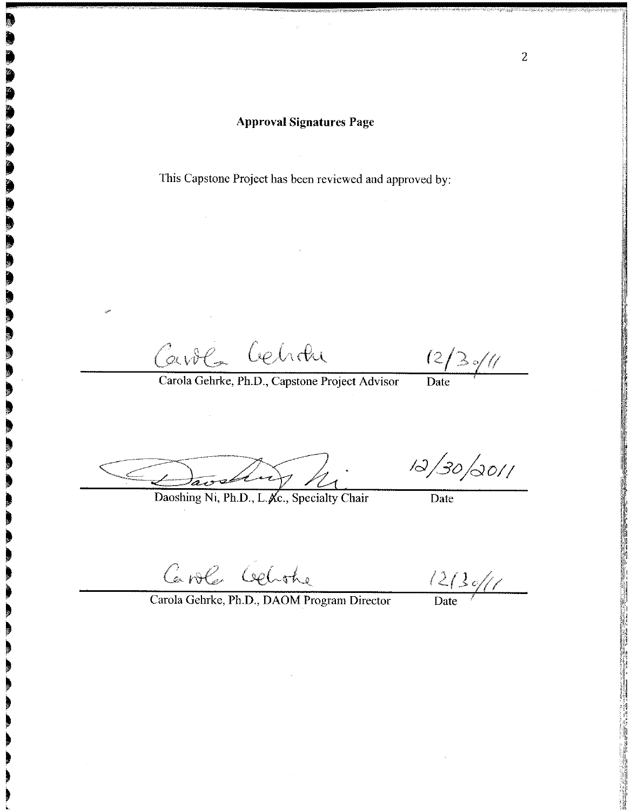This Capstone Project has been reviewed and approved by:

Carola Cehran

 $(2/3)/(1)$ 

Carola Gehrke, Ph.D., Capstone Project Advisor

 $\frac{1}{\text{Date}}$ 

Daoshing Ni, Ph.D., L. Ac., Specialty Chair

 $12/30/0011$ 

Date

Caroles Celothe

 $\frac{12}{2}$ 

Carola Gehrke, Ph.D., DAOM Program Director

 $\overline{2}$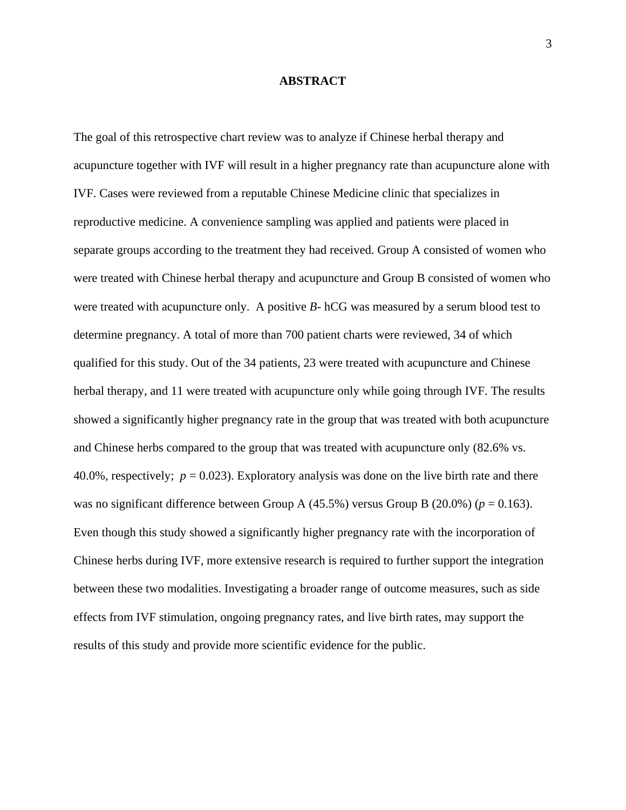#### **ABSTRACT**

The goal of this retrospective chart review was to analyze if Chinese herbal therapy and acupuncture together with IVF will result in a higher pregnancy rate than acupuncture alone with IVF. Cases were reviewed from a reputable Chinese Medicine clinic that specializes in reproductive medicine. A convenience sampling was applied and patients were placed in separate groups according to the treatment they had received. Group A consisted of women who were treated with Chinese herbal therapy and acupuncture and Group B consisted of women who were treated with acupuncture only. A positive *B-* hCG was measured by a serum blood test to determine pregnancy. A total of more than 700 patient charts were reviewed, 34 of which qualified for this study. Out of the 34 patients, 23 were treated with acupuncture and Chinese herbal therapy, and 11 were treated with acupuncture only while going through IVF. The results showed a significantly higher pregnancy rate in the group that was treated with both acupuncture and Chinese herbs compared to the group that was treated with acupuncture only (82.6% vs. 40.0%, respectively;  $p = 0.023$ ). Exploratory analysis was done on the live birth rate and there was no significant difference between Group A  $(45.5\%)$  versus Group B  $(20.0\%)$  ( $p = 0.163$ ). Even though this study showed a significantly higher pregnancy rate with the incorporation of Chinese herbs during IVF, more extensive research is required to further support the integration between these two modalities. Investigating a broader range of outcome measures, such as side effects from IVF stimulation, ongoing pregnancy rates, and live birth rates, may support the results of this study and provide more scientific evidence for the public.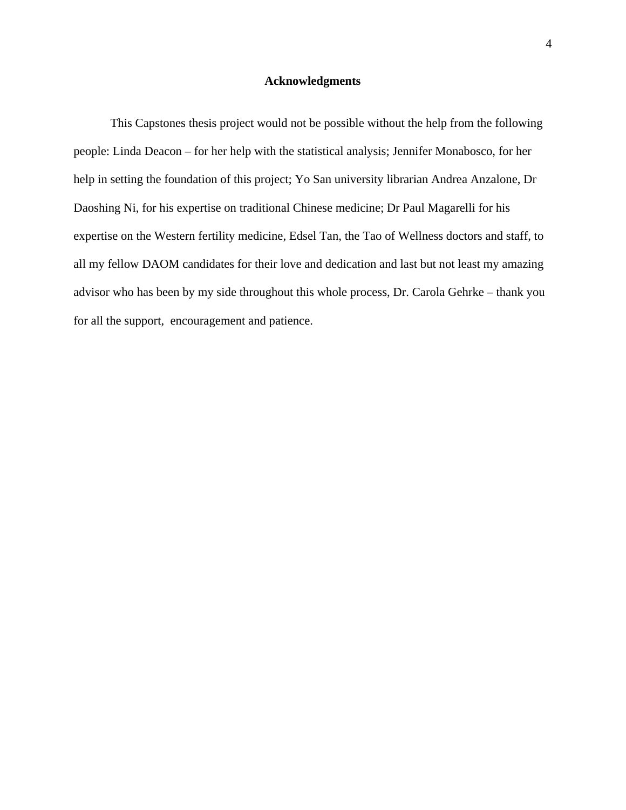#### **Acknowledgments**

This Capstones thesis project would not be possible without the help from the following people: Linda Deacon – for her help with the statistical analysis; Jennifer Monabosco, for her help in setting the foundation of this project; Yo San university librarian Andrea Anzalone, Dr Daoshing Ni, for his expertise on traditional Chinese medicine; Dr Paul Magarelli for his expertise on the Western fertility medicine, Edsel Tan, the Tao of Wellness doctors and staff, to all my fellow DAOM candidates for their love and dedication and last but not least my amazing advisor who has been by my side throughout this whole process, Dr. Carola Gehrke – thank you for all the support, encouragement and patience.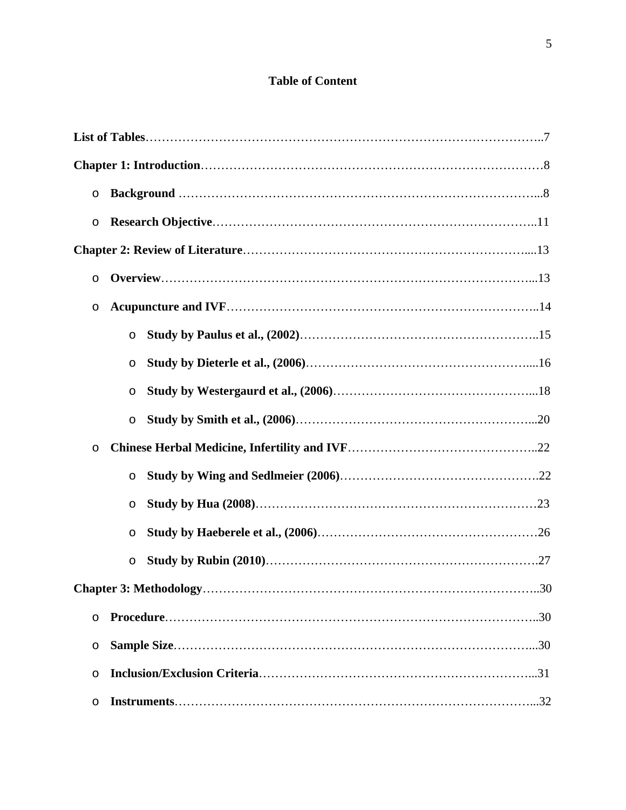# **Table of Content**

| O       |         |    |
|---------|---------|----|
| O       |         |    |
|         |         |    |
| O       |         |    |
| O       |         |    |
|         | $\circ$ |    |
|         | O       |    |
|         | O       |    |
|         | $\circ$ |    |
| $\circ$ |         |    |
|         | $\circ$ |    |
|         | O       |    |
|         | O       |    |
|         | O       |    |
|         |         | 30 |
| $\circ$ |         |    |
| $\circ$ |         |    |
| $\circ$ |         |    |
| $\circ$ |         |    |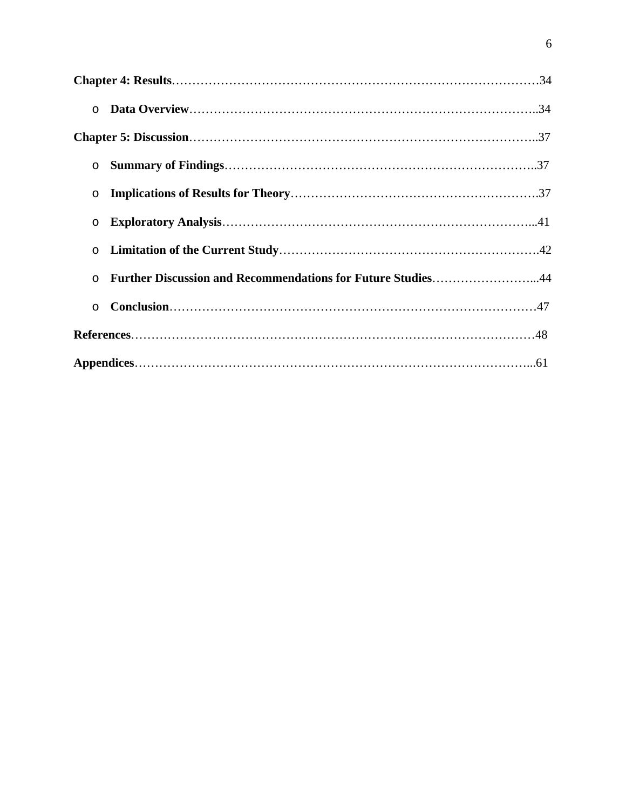| $\circ$ |                                                             |  |
|---------|-------------------------------------------------------------|--|
|         |                                                             |  |
| $\circ$ |                                                             |  |
| $\circ$ |                                                             |  |
| $\circ$ |                                                             |  |
| $\circ$ |                                                             |  |
| $\circ$ | Further Discussion and Recommendations for Future Studies44 |  |
| $\circ$ |                                                             |  |
|         |                                                             |  |
|         |                                                             |  |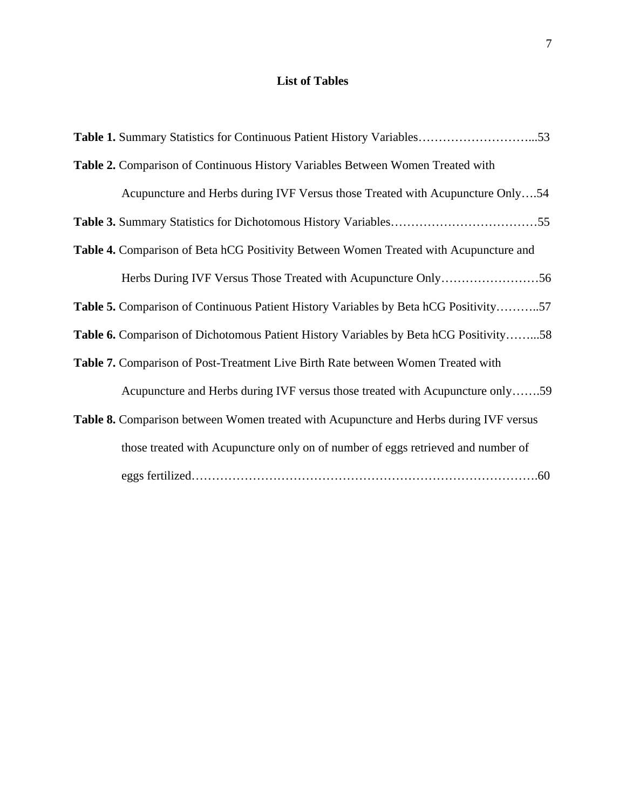# **List of Tables**

| Table 2. Comparison of Continuous History Variables Between Women Treated with              |
|---------------------------------------------------------------------------------------------|
| Acupuncture and Herbs during IVF Versus those Treated with Acupuncture Only54               |
|                                                                                             |
| Table 4. Comparison of Beta hCG Positivity Between Women Treated with Acupuncture and       |
|                                                                                             |
| <b>Table 5.</b> Comparison of Continuous Patient History Variables by Beta hCG Positivity57 |
| Table 6. Comparison of Dichotomous Patient History Variables by Beta hCG Positivity58       |
| Table 7. Comparison of Post-Treatment Live Birth Rate between Women Treated with            |
| Acupuncture and Herbs during IVF versus those treated with Acupuncture only59               |
| Table 8. Comparison between Women treated with Acupuncture and Herbs during IVF versus      |
| those treated with Acupuncture only on of number of eggs retrieved and number of            |
|                                                                                             |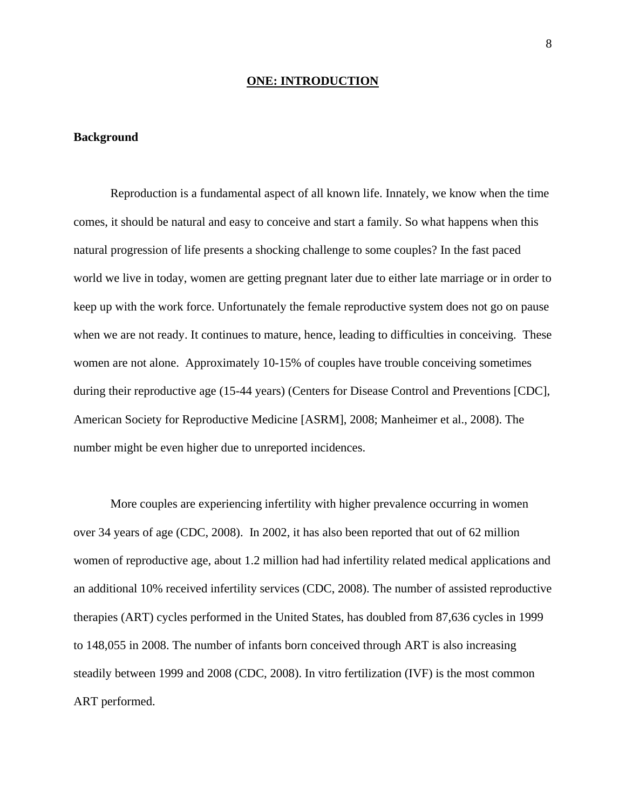#### **ONE: INTRODUCTION**

#### **Background**

Reproduction is a fundamental aspect of all known life. Innately, we know when the time comes, it should be natural and easy to conceive and start a family. So what happens when this natural progression of life presents a shocking challenge to some couples? In the fast paced world we live in today, women are getting pregnant later due to either late marriage or in order to keep up with the work force. Unfortunately the female reproductive system does not go on pause when we are not ready. It continues to mature, hence, leading to difficulties in conceiving. These women are not alone. Approximately 10-15% of couples have trouble conceiving sometimes during their reproductive age (15-44 years) (Centers for Disease Control and Preventions [CDC], American Society for Reproductive Medicine [ASRM], 2008; Manheimer et al., 2008). The number might be even higher due to unreported incidences.

More couples are experiencing infertility with higher prevalence occurring in women over 34 years of age (CDC, 2008). In 2002, it has also been reported that out of 62 million women of reproductive age, about 1.2 million had had infertility related medical applications and an additional 10% received infertility services (CDC, 2008). The number of assisted reproductive therapies (ART) cycles performed in the United States, has doubled from 87,636 cycles in 1999 to 148,055 in 2008. The number of infants born conceived through ART is also increasing steadily between 1999 and 2008 (CDC, 2008). In vitro fertilization (IVF) is the most common ART performed.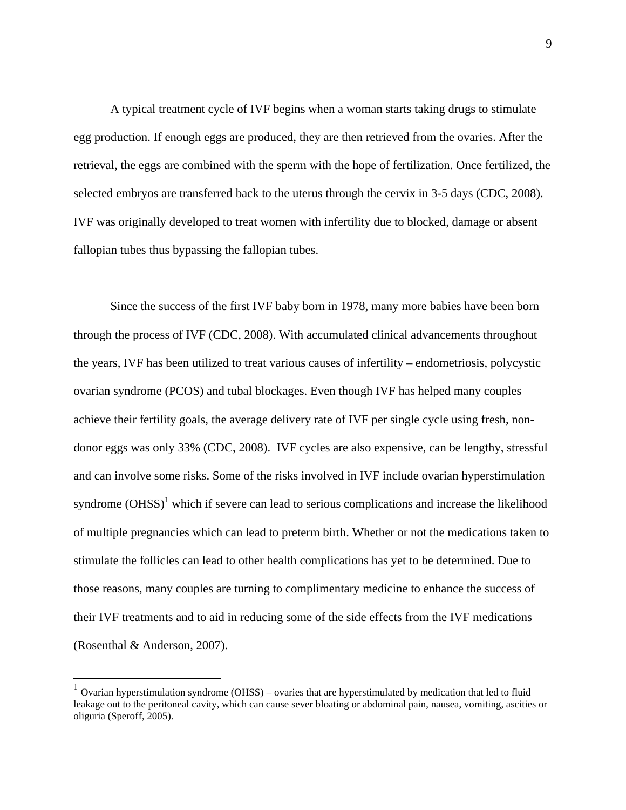A typical treatment cycle of IVF begins when a woman starts taking drugs to stimulate egg production. If enough eggs are produced, they are then retrieved from the ovaries. After the retrieval, the eggs are combined with the sperm with the hope of fertilization. Once fertilized, the selected embryos are transferred back to the uterus through the cervix in 3-5 days (CDC, 2008). IVF was originally developed to treat women with infertility due to blocked, damage or absent fallopian tubes thus bypassing the fallopian tubes.

Since the success of the first IVF baby born in 1978, many more babies have been born through the process of IVF (CDC, 2008). With accumulated clinical advancements throughout the years, IVF has been utilized to treat various causes of infertility – endometriosis, polycystic ovarian syndrome (PCOS) and tubal blockages. Even though IVF has helped many couples achieve their fertility goals, the average delivery rate of IVF per single cycle using fresh, nondonor eggs was only 33% (CDC, 2008). IVF cycles are also expensive, can be lengthy, stressful and can involve some risks. Some of the risks involved in IVF include ovarian hyperstimulation syndrome  $(OHSS)^{1}$  which if severe can lead to serious complications and increase the likelihood of multiple pregnancies which can lead to preterm birth. Whether or not the medications taken to stimulate the follicles can lead to other health complications has yet to be determined. Due to those reasons, many couples are turning to complimentary medicine to enhance the success of their IVF treatments and to aid in reducing some of the side effects from the IVF medications (Rosenthal & Anderson, 2007).

 $\overline{a}$ 

 $1$  Ovarian hyperstimulation syndrome (OHSS) – ovaries that are hyperstimulated by medication that led to fluid leakage out to the peritoneal cavity, which can cause sever bloating or abdominal pain, nausea, vomiting, ascities or oliguria (Speroff, 2005).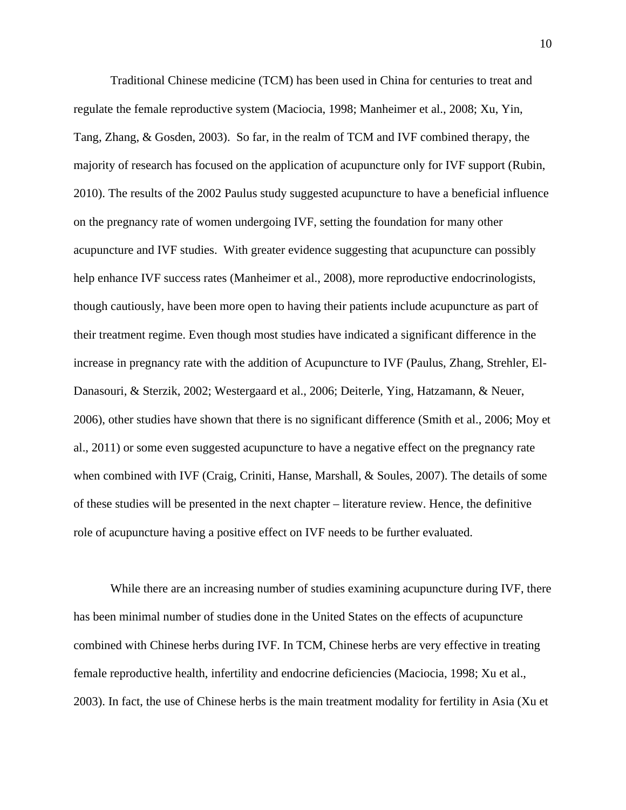Traditional Chinese medicine (TCM) has been used in China for centuries to treat and regulate the female reproductive system (Maciocia, 1998; Manheimer et al., 2008; Xu, Yin, Tang, Zhang, & Gosden, 2003). So far, in the realm of TCM and IVF combined therapy, the majority of research has focused on the application of acupuncture only for IVF support (Rubin, 2010). The results of the 2002 Paulus study suggested acupuncture to have a beneficial influence on the pregnancy rate of women undergoing IVF, setting the foundation for many other acupuncture and IVF studies. With greater evidence suggesting that acupuncture can possibly help enhance IVF success rates (Manheimer et al., 2008), more reproductive endocrinologists, though cautiously, have been more open to having their patients include acupuncture as part of their treatment regime. Even though most studies have indicated a significant difference in the increase in pregnancy rate with the addition of Acupuncture to IVF (Paulus, Zhang, Strehler, El-Danasouri, & Sterzik, 2002; Westergaard et al., 2006; Deiterle, Ying, Hatzamann, & Neuer, 2006), other studies have shown that there is no significant difference (Smith et al., 2006; Moy et al., 2011) or some even suggested acupuncture to have a negative effect on the pregnancy rate when combined with IVF (Craig, Criniti, Hanse, Marshall, & Soules, 2007). The details of some of these studies will be presented in the next chapter – literature review. Hence, the definitive role of acupuncture having a positive effect on IVF needs to be further evaluated.

While there are an increasing number of studies examining acupuncture during IVF, there has been minimal number of studies done in the United States on the effects of acupuncture combined with Chinese herbs during IVF. In TCM, Chinese herbs are very effective in treating female reproductive health, infertility and endocrine deficiencies (Maciocia, 1998; Xu et al., 2003). In fact, the use of Chinese herbs is the main treatment modality for fertility in Asia (Xu et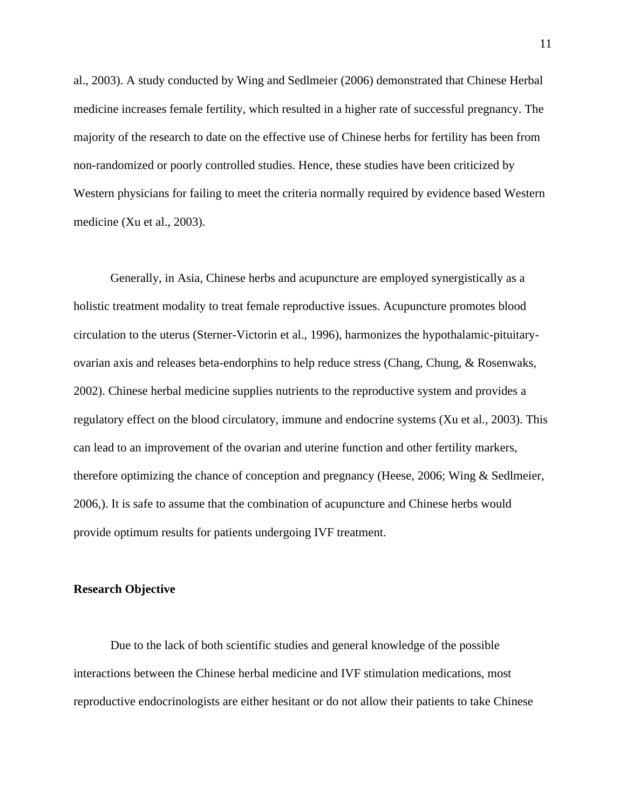al., 2003). A study conducted by Wing and Sedlmeier (2006) demonstrated that Chinese Herbal medicine increases female fertility, which resulted in a higher rate of successful pregnancy. The majority of the research to date on the effective use of Chinese herbs for fertility has been from non-randomized or poorly controlled studies. Hence, these studies have been criticized by Western physicians for failing to meet the criteria normally required by evidence based Western medicine (Xu et al., 2003).

Generally, in Asia, Chinese herbs and acupuncture are employed synergistically as a holistic treatment modality to treat female reproductive issues. Acupuncture promotes blood circulation to the uterus (Sterner-Victorin et al., 1996), harmonizes the hypothalamic-pituitaryovarian axis and releases beta-endorphins to help reduce stress (Chang, Chung, & Rosenwaks, 2002). Chinese herbal medicine supplies nutrients to the reproductive system and provides a regulatory effect on the blood circulatory, immune and endocrine systems (Xu et al., 2003). This can lead to an improvement of the ovarian and uterine function and other fertility markers, therefore optimizing the chance of conception and pregnancy (Heese, 2006; Wing & Sedlmeier, 2006,). It is safe to assume that the combination of acupuncture and Chinese herbs would provide optimum results for patients undergoing IVF treatment.

#### **Research Objective**

Due to the lack of both scientific studies and general knowledge of the possible interactions between the Chinese herbal medicine and IVF stimulation medications, most reproductive endocrinologists are either hesitant or do not allow their patients to take Chinese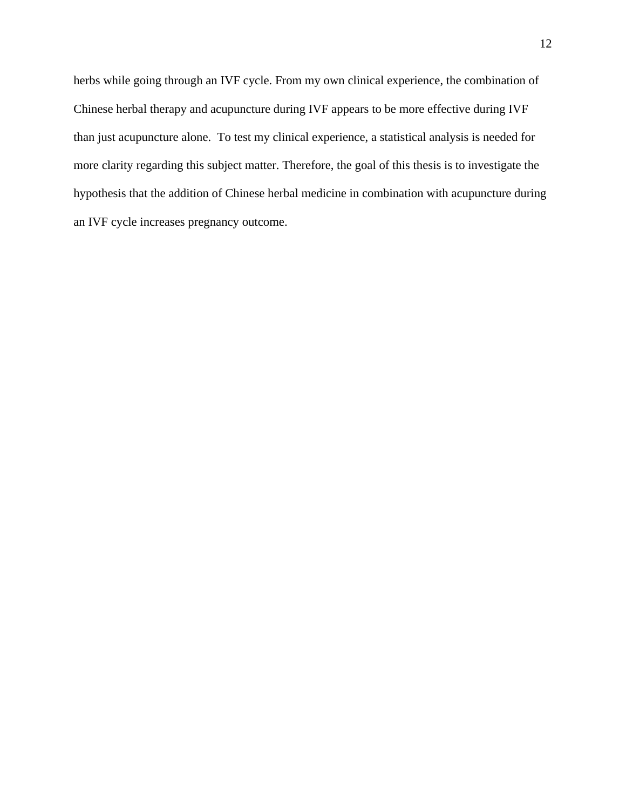herbs while going through an IVF cycle. From my own clinical experience, the combination of Chinese herbal therapy and acupuncture during IVF appears to be more effective during IVF than just acupuncture alone. To test my clinical experience, a statistical analysis is needed for more clarity regarding this subject matter. Therefore, the goal of this thesis is to investigate the hypothesis that the addition of Chinese herbal medicine in combination with acupuncture during an IVF cycle increases pregnancy outcome.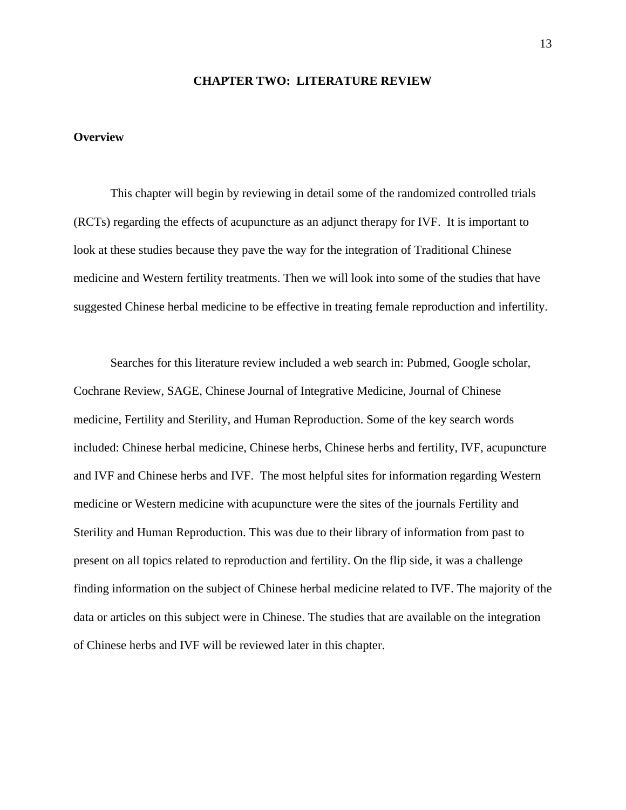#### **CHAPTER TWO: LITERATURE REVIEW**

### **Overview**

This chapter will begin by reviewing in detail some of the randomized controlled trials (RCTs) regarding the effects of acupuncture as an adjunct therapy for IVF. It is important to look at these studies because they pave the way for the integration of Traditional Chinese medicine and Western fertility treatments. Then we will look into some of the studies that have suggested Chinese herbal medicine to be effective in treating female reproduction and infertility.

Searches for this literature review included a web search in: Pubmed, Google scholar, Cochrane Review, SAGE, Chinese Journal of Integrative Medicine, Journal of Chinese medicine, Fertility and Sterility, and Human Reproduction. Some of the key search words included: Chinese herbal medicine, Chinese herbs, Chinese herbs and fertility, IVF, acupuncture and IVF and Chinese herbs and IVF. The most helpful sites for information regarding Western medicine or Western medicine with acupuncture were the sites of the journals Fertility and Sterility and Human Reproduction. This was due to their library of information from past to present on all topics related to reproduction and fertility. On the flip side, it was a challenge finding information on the subject of Chinese herbal medicine related to IVF. The majority of the data or articles on this subject were in Chinese. The studies that are available on the integration of Chinese herbs and IVF will be reviewed later in this chapter.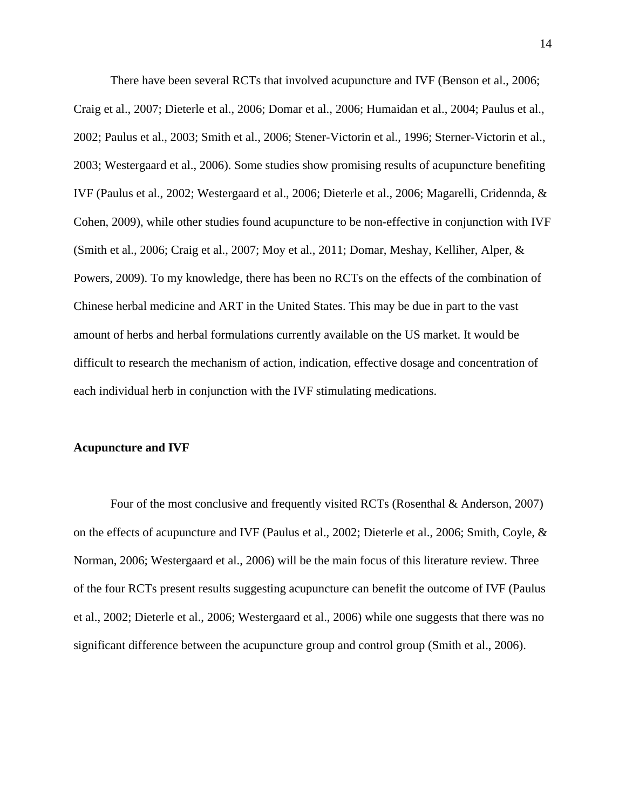There have been several RCTs that involved acupuncture and IVF (Benson et al., 2006; Craig et al., 2007; Dieterle et al., 2006; Domar et al., 2006; Humaidan et al., 2004; Paulus et al., 2002; Paulus et al., 2003; Smith et al., 2006; Stener-Victorin et al., 1996; Sterner-Victorin et al., 2003; Westergaard et al., 2006). Some studies show promising results of acupuncture benefiting IVF (Paulus et al., 2002; Westergaard et al., 2006; Dieterle et al., 2006; Magarelli, Cridennda, & Cohen, 2009), while other studies found acupuncture to be non-effective in conjunction with IVF (Smith et al., 2006; Craig et al., 2007; Moy et al., 2011; Domar, Meshay, Kelliher, Alper, & Powers, 2009). To my knowledge, there has been no RCTs on the effects of the combination of Chinese herbal medicine and ART in the United States. This may be due in part to the vast amount of herbs and herbal formulations currently available on the US market. It would be difficult to research the mechanism of action, indication, effective dosage and concentration of each individual herb in conjunction with the IVF stimulating medications.

#### **Acupuncture and IVF**

Four of the most conclusive and frequently visited RCTs (Rosenthal & Anderson, 2007) on the effects of acupuncture and IVF (Paulus et al., 2002; Dieterle et al., 2006; Smith, Coyle, & Norman, 2006; Westergaard et al., 2006) will be the main focus of this literature review. Three of the four RCTs present results suggesting acupuncture can benefit the outcome of IVF (Paulus et al., 2002; Dieterle et al., 2006; Westergaard et al., 2006) while one suggests that there was no significant difference between the acupuncture group and control group (Smith et al., 2006).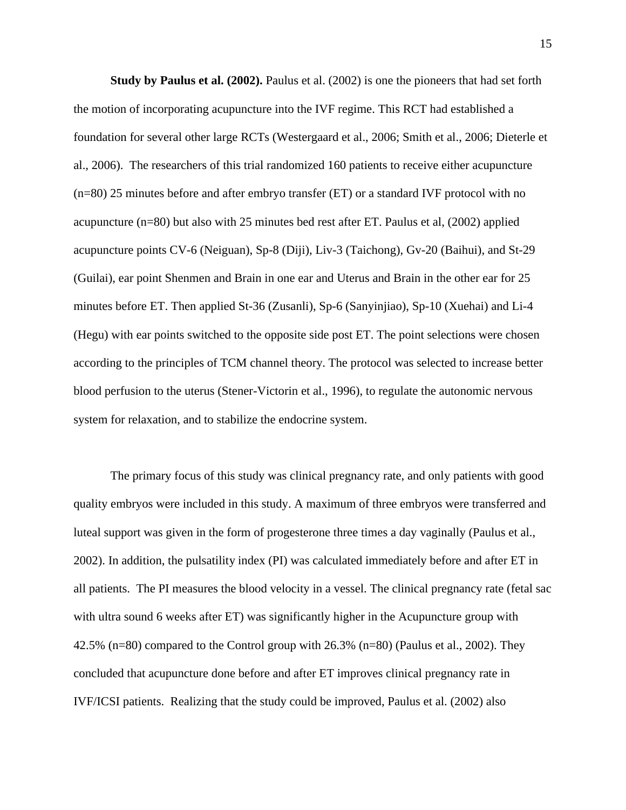**Study by Paulus et al. (2002).** Paulus et al. (2002) is one the pioneers that had set forth the motion of incorporating acupuncture into the IVF regime. This RCT had established a foundation for several other large RCTs (Westergaard et al., 2006; Smith et al., 2006; Dieterle et al., 2006). The researchers of this trial randomized 160 patients to receive either acupuncture (n=80) 25 minutes before and after embryo transfer (ET) or a standard IVF protocol with no acupuncture (n=80) but also with 25 minutes bed rest after ET. Paulus et al, (2002) applied acupuncture points CV-6 (Neiguan), Sp-8 (Diji), Liv-3 (Taichong), Gv-20 (Baihui), and St-29 (Guilai), ear point Shenmen and Brain in one ear and Uterus and Brain in the other ear for 25 minutes before ET. Then applied St-36 (Zusanli), Sp-6 (Sanyinjiao), Sp-10 (Xuehai) and Li-4 (Hegu) with ear points switched to the opposite side post ET. The point selections were chosen according to the principles of TCM channel theory. The protocol was selected to increase better blood perfusion to the uterus (Stener-Victorin et al., 1996), to regulate the autonomic nervous system for relaxation, and to stabilize the endocrine system.

The primary focus of this study was clinical pregnancy rate, and only patients with good quality embryos were included in this study. A maximum of three embryos were transferred and luteal support was given in the form of progesterone three times a day vaginally (Paulus et al., 2002). In addition, the pulsatility index (PI) was calculated immediately before and after ET in all patients. The PI measures the blood velocity in a vessel. The clinical pregnancy rate (fetal sac with ultra sound 6 weeks after ET) was significantly higher in the Acupuncture group with 42.5% (n=80) compared to the Control group with 26.3% (n=80) (Paulus et al., 2002). They concluded that acupuncture done before and after ET improves clinical pregnancy rate in IVF/ICSI patients. Realizing that the study could be improved, Paulus et al. (2002) also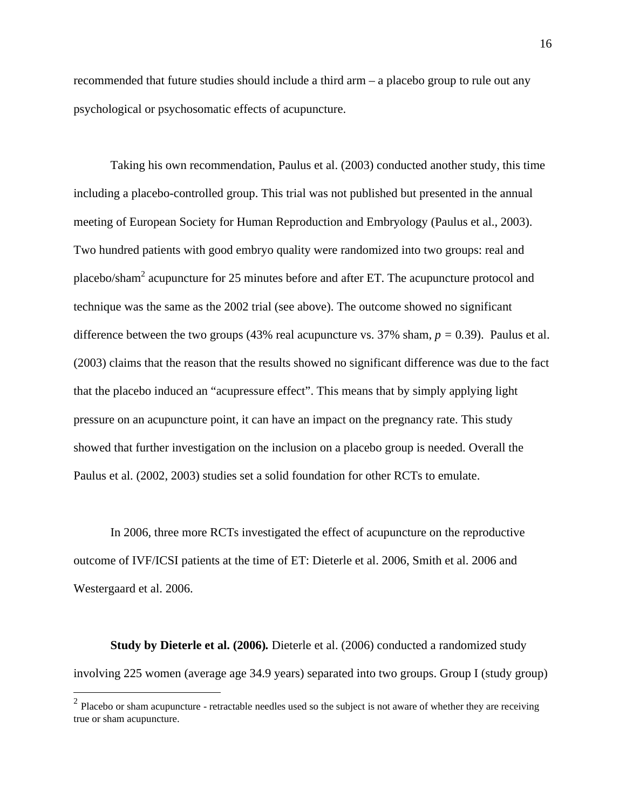recommended that future studies should include a third arm – a placebo group to rule out any psychological or psychosomatic effects of acupuncture.

Taking his own recommendation, Paulus et al. (2003) conducted another study, this time including a placebo-controlled group. This trial was not published but presented in the annual meeting of European Society for Human Reproduction and Embryology (Paulus et al., 2003). Two hundred patients with good embryo quality were randomized into two groups: real and placebo/sham<sup>2</sup> acupuncture for 25 minutes before and after ET. The acupuncture protocol and technique was the same as the 2002 trial (see above). The outcome showed no significant difference between the two groups (43% real acupuncture vs. 37% sham,  $p = 0.39$ ). Paulus et al. (2003) claims that the reason that the results showed no significant difference was due to the fact that the placebo induced an "acupressure effect". This means that by simply applying light pressure on an acupuncture point, it can have an impact on the pregnancy rate. This study showed that further investigation on the inclusion on a placebo group is needed. Overall the Paulus et al. (2002, 2003) studies set a solid foundation for other RCTs to emulate.

In 2006, three more RCTs investigated the effect of acupuncture on the reproductive outcome of IVF/ICSI patients at the time of ET: Dieterle et al. 2006, Smith et al. 2006 and Westergaard et al. 2006.

**Study by Dieterle et al. (2006)***.* Dieterle et al. (2006) conducted a randomized study involving 225 women (average age 34.9 years) separated into two groups. Group I (study group)

<u>.</u>

 $2$  Placebo or sham acupuncture - retractable needles used so the subject is not aware of whether they are receiving true or sham acupuncture.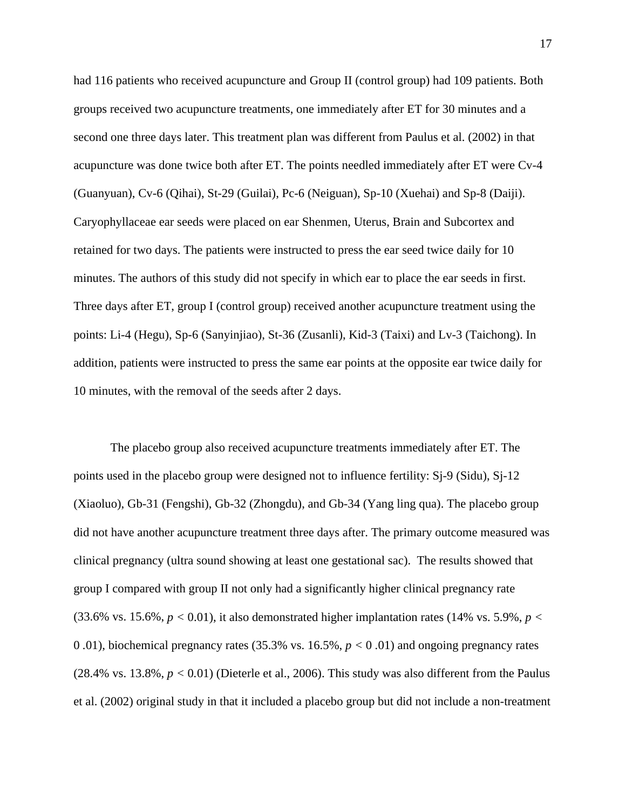had 116 patients who received acupuncture and Group II (control group) had 109 patients. Both groups received two acupuncture treatments, one immediately after ET for 30 minutes and a second one three days later. This treatment plan was different from Paulus et al. (2002) in that acupuncture was done twice both after ET. The points needled immediately after ET were Cv-4 (Guanyuan), Cv-6 (Qihai), St-29 (Guilai), Pc-6 (Neiguan), Sp-10 (Xuehai) and Sp-8 (Daiji). Caryophyllaceae ear seeds were placed on ear Shenmen, Uterus, Brain and Subcortex and retained for two days. The patients were instructed to press the ear seed twice daily for 10 minutes. The authors of this study did not specify in which ear to place the ear seeds in first. Three days after ET, group I (control group) received another acupuncture treatment using the points: Li-4 (Hegu), Sp-6 (Sanyinjiao), St-36 (Zusanli), Kid-3 (Taixi) and Lv-3 (Taichong). In addition, patients were instructed to press the same ear points at the opposite ear twice daily for 10 minutes, with the removal of the seeds after 2 days.

The placebo group also received acupuncture treatments immediately after ET. The points used in the placebo group were designed not to influence fertility: Sj-9 (Sidu), Sj-12 (Xiaoluo), Gb-31 (Fengshi), Gb-32 (Zhongdu), and Gb-34 (Yang ling qua). The placebo group did not have another acupuncture treatment three days after. The primary outcome measured was clinical pregnancy (ultra sound showing at least one gestational sac). The results showed that group I compared with group II not only had a significantly higher clinical pregnancy rate  $(33.6\%$  vs.  $15.6\%, p < 0.01)$ , it also demonstrated higher implantation rates (14% vs. 5.9%,  $p <$ 0 *.*01), biochemical pregnancy rates (35.3% vs. 16.5%, *p <* 0 *.*01) and ongoing pregnancy rates  $(28.4\% \text{ vs. } 13.8\%, p < 0.01)$  (Dieterle et al., 2006). This study was also different from the Paulus et al. (2002) original study in that it included a placebo group but did not include a non-treatment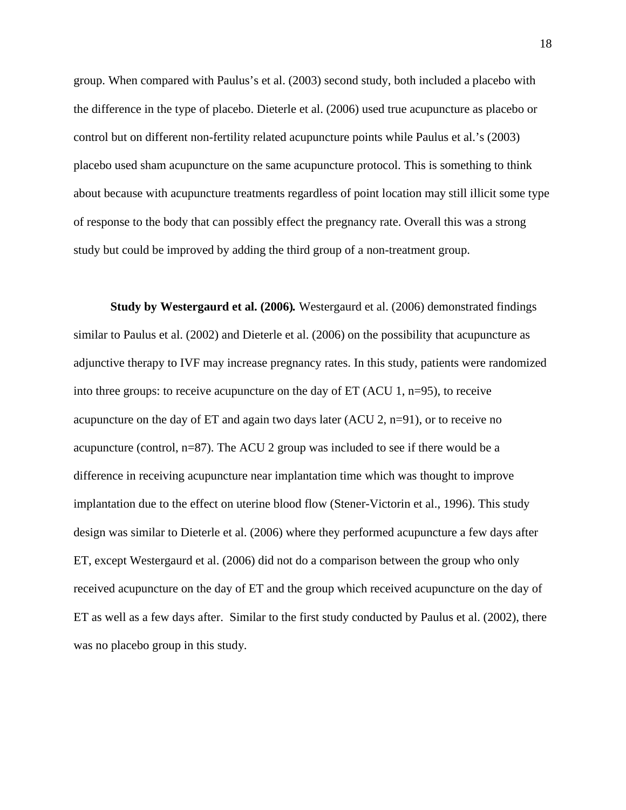group. When compared with Paulus's et al. (2003) second study, both included a placebo with the difference in the type of placebo. Dieterle et al. (2006) used true acupuncture as placebo or control but on different non-fertility related acupuncture points while Paulus et al.'s (2003) placebo used sham acupuncture on the same acupuncture protocol. This is something to think about because with acupuncture treatments regardless of point location may still illicit some type of response to the body that can possibly effect the pregnancy rate. Overall this was a strong study but could be improved by adding the third group of a non-treatment group.

**Study by Westergaurd et al. (2006)***.* Westergaurd et al. (2006) demonstrated findings similar to Paulus et al. (2002) and Dieterle et al. (2006) on the possibility that acupuncture as adjunctive therapy to IVF may increase pregnancy rates. In this study, patients were randomized into three groups: to receive acupuncture on the day of ET (ACU 1, n=95), to receive acupuncture on the day of ET and again two days later (ACU 2, n=91), or to receive no acupuncture (control, n=87). The ACU 2 group was included to see if there would be a difference in receiving acupuncture near implantation time which was thought to improve implantation due to the effect on uterine blood flow (Stener-Victorin et al., 1996). This study design was similar to Dieterle et al. (2006) where they performed acupuncture a few days after ET, except Westergaurd et al. (2006) did not do a comparison between the group who only received acupuncture on the day of ET and the group which received acupuncture on the day of ET as well as a few days after. Similar to the first study conducted by Paulus et al. (2002), there was no placebo group in this study.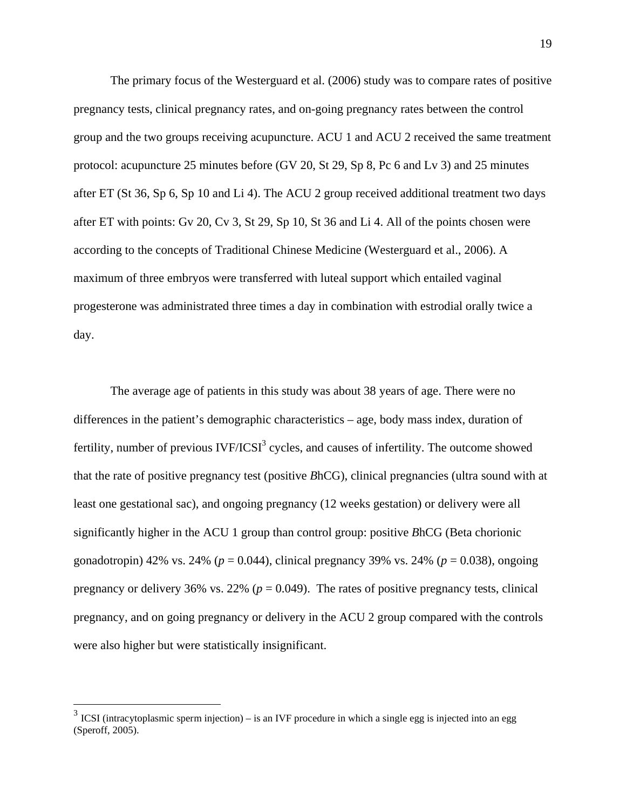The primary focus of the Westerguard et al. (2006) study was to compare rates of positive pregnancy tests, clinical pregnancy rates, and on-going pregnancy rates between the control group and the two groups receiving acupuncture. ACU 1 and ACU 2 received the same treatment protocol: acupuncture 25 minutes before (GV 20, St 29, Sp 8, Pc 6 and Lv 3) and 25 minutes after ET (St 36, Sp 6, Sp 10 and Li 4). The ACU 2 group received additional treatment two days after ET with points: Gv 20, Cv 3, St 29, Sp 10, St 36 and Li 4. All of the points chosen were according to the concepts of Traditional Chinese Medicine (Westerguard et al., 2006). A maximum of three embryos were transferred with luteal support which entailed vaginal progesterone was administrated three times a day in combination with estrodial orally twice a day.

The average age of patients in this study was about 38 years of age. There were no differences in the patient's demographic characteristics – age, body mass index, duration of fertility, number of previous  $IVF/ICSI<sup>3</sup>$  cycles, and causes of infertility. The outcome showed that the rate of positive pregnancy test (positive *B*hCG), clinical pregnancies (ultra sound with at least one gestational sac), and ongoing pregnancy (12 weeks gestation) or delivery were all significantly higher in the ACU 1 group than control group: positive *B*hCG (Beta chorionic gonadotropin) 42% vs. 24% (*p* = 0.044), clinical pregnancy 39% vs. 24% (*p* = 0.038), ongoing pregnancy or delivery 36% vs. 22%  $(p = 0.049)$ . The rates of positive pregnancy tests, clinical pregnancy, and on going pregnancy or delivery in the ACU 2 group compared with the controls were also higher but were statistically insignificant.

1

 $3$  ICSI (intracytoplasmic sperm injection) – is an IVF procedure in which a single egg is injected into an egg (Speroff, 2005).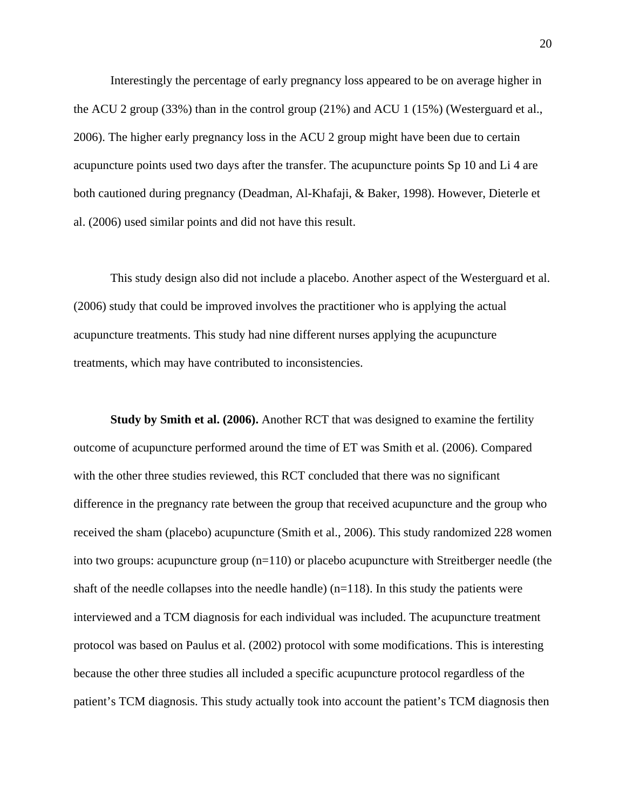Interestingly the percentage of early pregnancy loss appeared to be on average higher in the ACU 2 group (33%) than in the control group (21%) and ACU 1 (15%) (Westerguard et al., 2006). The higher early pregnancy loss in the ACU 2 group might have been due to certain acupuncture points used two days after the transfer. The acupuncture points Sp 10 and Li 4 are both cautioned during pregnancy (Deadman, Al-Khafaji, & Baker, 1998). However, Dieterle et al. (2006) used similar points and did not have this result.

This study design also did not include a placebo. Another aspect of the Westerguard et al. (2006) study that could be improved involves the practitioner who is applying the actual acupuncture treatments. This study had nine different nurses applying the acupuncture treatments, which may have contributed to inconsistencies.

**Study by Smith et al. (2006).** Another RCT that was designed to examine the fertility outcome of acupuncture performed around the time of ET was Smith et al. (2006). Compared with the other three studies reviewed, this RCT concluded that there was no significant difference in the pregnancy rate between the group that received acupuncture and the group who received the sham (placebo) acupuncture (Smith et al., 2006). This study randomized 228 women into two groups: acupuncture group  $(n=110)$  or placebo acupuncture with Streitberger needle (the shaft of the needle collapses into the needle handle)  $(n=118)$ . In this study the patients were interviewed and a TCM diagnosis for each individual was included. The acupuncture treatment protocol was based on Paulus et al. (2002) protocol with some modifications. This is interesting because the other three studies all included a specific acupuncture protocol regardless of the patient's TCM diagnosis. This study actually took into account the patient's TCM diagnosis then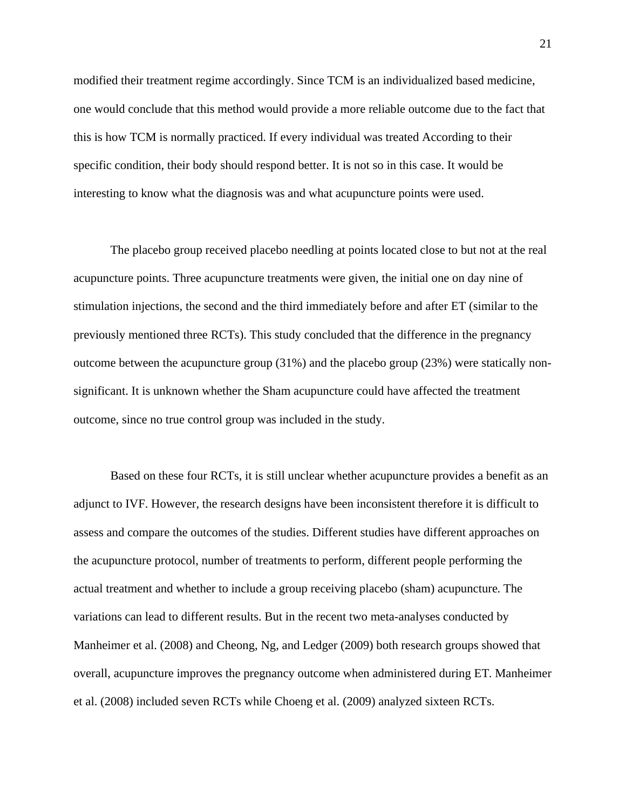modified their treatment regime accordingly. Since TCM is an individualized based medicine, one would conclude that this method would provide a more reliable outcome due to the fact that this is how TCM is normally practiced. If every individual was treated According to their specific condition, their body should respond better. It is not so in this case. It would be interesting to know what the diagnosis was and what acupuncture points were used.

The placebo group received placebo needling at points located close to but not at the real acupuncture points. Three acupuncture treatments were given, the initial one on day nine of stimulation injections, the second and the third immediately before and after ET (similar to the previously mentioned three RCTs). This study concluded that the difference in the pregnancy outcome between the acupuncture group (31%) and the placebo group (23%) were statically nonsignificant. It is unknown whether the Sham acupuncture could have affected the treatment outcome, since no true control group was included in the study.

Based on these four RCTs, it is still unclear whether acupuncture provides a benefit as an adjunct to IVF. However, the research designs have been inconsistent therefore it is difficult to assess and compare the outcomes of the studies. Different studies have different approaches on the acupuncture protocol, number of treatments to perform, different people performing the actual treatment and whether to include a group receiving placebo (sham) acupuncture. The variations can lead to different results. But in the recent two meta-analyses conducted by Manheimer et al. (2008) and Cheong, Ng, and Ledger (2009) both research groups showed that overall, acupuncture improves the pregnancy outcome when administered during ET. Manheimer et al. (2008) included seven RCTs while Choeng et al. (2009) analyzed sixteen RCTs.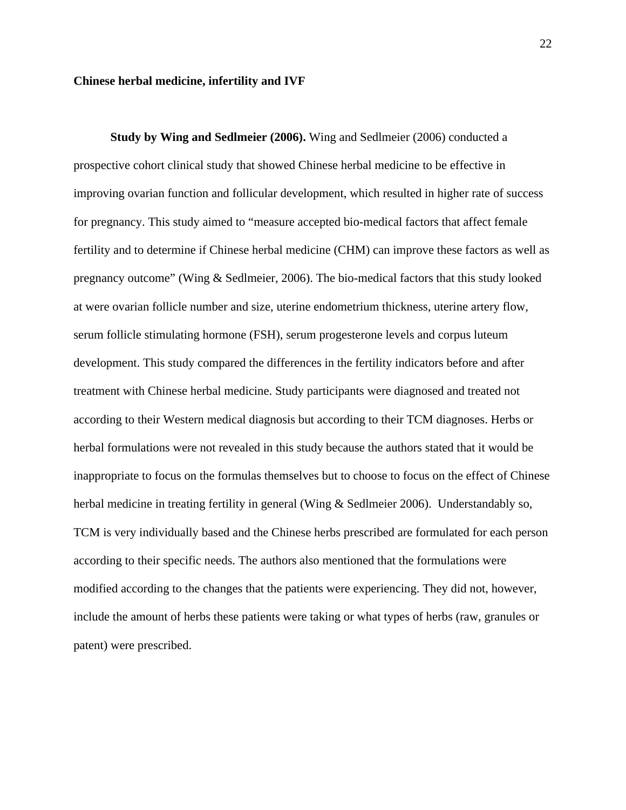#### **Chinese herbal medicine, infertility and IVF**

**Study by Wing and Sedlmeier (2006).** Wing and Sedlmeier (2006) conducted a prospective cohort clinical study that showed Chinese herbal medicine to be effective in improving ovarian function and follicular development, which resulted in higher rate of success for pregnancy. This study aimed to "measure accepted bio-medical factors that affect female fertility and to determine if Chinese herbal medicine (CHM) can improve these factors as well as pregnancy outcome" (Wing & Sedlmeier, 2006). The bio-medical factors that this study looked at were ovarian follicle number and size, uterine endometrium thickness, uterine artery flow, serum follicle stimulating hormone (FSH), serum progesterone levels and corpus luteum development. This study compared the differences in the fertility indicators before and after treatment with Chinese herbal medicine. Study participants were diagnosed and treated not according to their Western medical diagnosis but according to their TCM diagnoses. Herbs or herbal formulations were not revealed in this study because the authors stated that it would be inappropriate to focus on the formulas themselves but to choose to focus on the effect of Chinese herbal medicine in treating fertility in general (Wing & Sedlmeier 2006). Understandably so, TCM is very individually based and the Chinese herbs prescribed are formulated for each person according to their specific needs. The authors also mentioned that the formulations were modified according to the changes that the patients were experiencing. They did not, however, include the amount of herbs these patients were taking or what types of herbs (raw, granules or patent) were prescribed.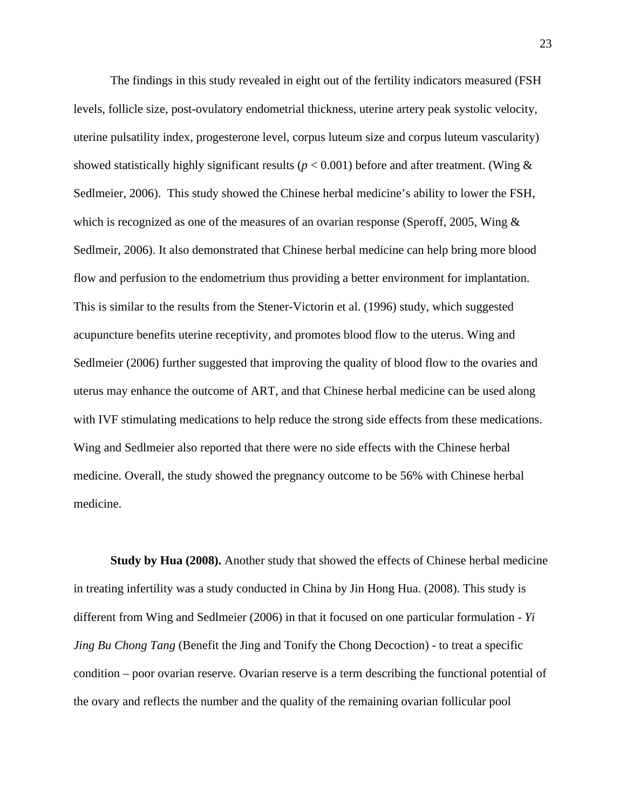The findings in this study revealed in eight out of the fertility indicators measured (FSH levels, follicle size, post-ovulatory endometrial thickness, uterine artery peak systolic velocity, uterine pulsatility index, progesterone level, corpus luteum size and corpus luteum vascularity) showed statistically highly significant results ( $p < 0.001$ ) before and after treatment. (Wing  $\&$ Sedlmeier, 2006). This study showed the Chinese herbal medicine's ability to lower the FSH, which is recognized as one of the measures of an ovarian response (Speroff, 2005, Wing & Sedlmeir, 2006). It also demonstrated that Chinese herbal medicine can help bring more blood flow and perfusion to the endometrium thus providing a better environment for implantation. This is similar to the results from the Stener-Victorin et al. (1996) study, which suggested acupuncture benefits uterine receptivity, and promotes blood flow to the uterus. Wing and Sedlmeier (2006) further suggested that improving the quality of blood flow to the ovaries and uterus may enhance the outcome of ART, and that Chinese herbal medicine can be used along with IVF stimulating medications to help reduce the strong side effects from these medications. Wing and Sedlmeier also reported that there were no side effects with the Chinese herbal medicine. Overall, the study showed the pregnancy outcome to be 56% with Chinese herbal medicine.

**Study by Hua (2008).** Another study that showed the effects of Chinese herbal medicine in treating infertility was a study conducted in China by Jin Hong Hua. (2008). This study is different from Wing and Sedlmeier (2006) in that it focused on one particular formulation - *Yi Jing Bu Chong Tang* (Benefit the Jing and Tonify the Chong Decoction) - to treat a specific condition – poor ovarian reserve. Ovarian reserve is a term describing the functional potential of the ovary and reflects the number and the quality of the remaining ovarian follicular pool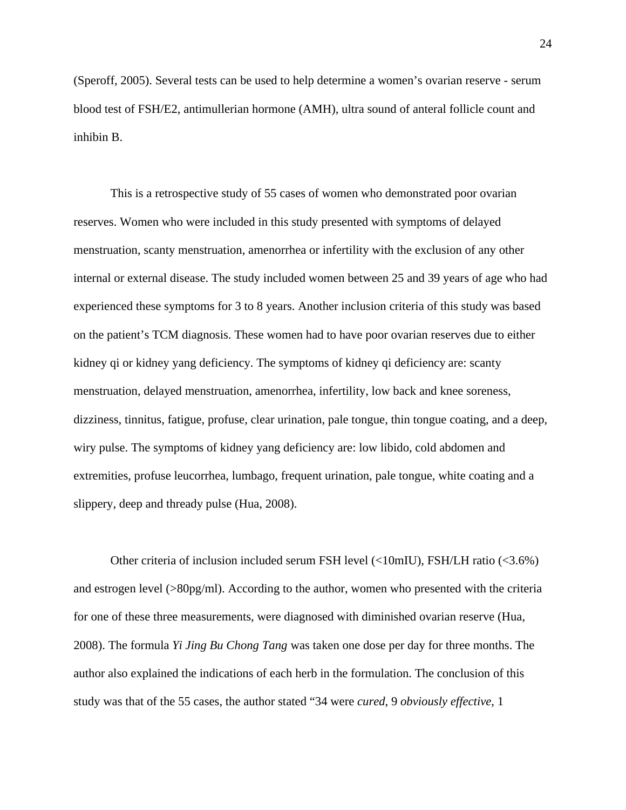(Speroff, 2005). Several tests can be used to help determine a women's ovarian reserve - serum blood test of FSH/E2, antimullerian hormone (AMH), ultra sound of anteral follicle count and inhibin B.

This is a retrospective study of 55 cases of women who demonstrated poor ovarian reserves. Women who were included in this study presented with symptoms of delayed menstruation, scanty menstruation, amenorrhea or infertility with the exclusion of any other internal or external disease. The study included women between 25 and 39 years of age who had experienced these symptoms for 3 to 8 years. Another inclusion criteria of this study was based on the patient's TCM diagnosis. These women had to have poor ovarian reserves due to either kidney qi or kidney yang deficiency. The symptoms of kidney qi deficiency are: scanty menstruation, delayed menstruation, amenorrhea, infertility, low back and knee soreness, dizziness, tinnitus, fatigue, profuse, clear urination, pale tongue, thin tongue coating, and a deep, wiry pulse. The symptoms of kidney yang deficiency are: low libido, cold abdomen and extremities, profuse leucorrhea, lumbago, frequent urination, pale tongue, white coating and a slippery, deep and thready pulse (Hua, 2008).

Other criteria of inclusion included serum FSH level (<10mIU), FSH/LH ratio (<3.6%) and estrogen level (>80pg/ml). According to the author, women who presented with the criteria for one of these three measurements, were diagnosed with diminished ovarian reserve (Hua, 2008). The formula *Yi Jing Bu Chong Tang* was taken one dose per day for three months. The author also explained the indications of each herb in the formulation. The conclusion of this study was that of the 55 cases, the author stated "34 were *cured*, 9 *obviously effective*, 1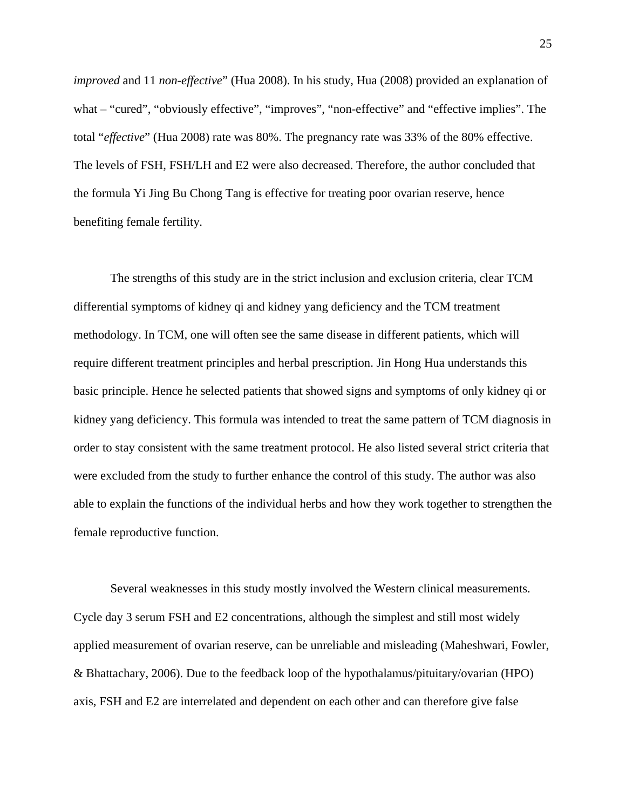*improved* and 11 *non-effective*" (Hua 2008). In his study, Hua (2008) provided an explanation of what – "cured", "obviously effective", "improves", "non-effective" and "effective implies". The total "*effective*" (Hua 2008) rate was 80%. The pregnancy rate was 33% of the 80% effective. The levels of FSH, FSH/LH and E2 were also decreased. Therefore, the author concluded that the formula Yi Jing Bu Chong Tang is effective for treating poor ovarian reserve, hence benefiting female fertility.

The strengths of this study are in the strict inclusion and exclusion criteria, clear TCM differential symptoms of kidney qi and kidney yang deficiency and the TCM treatment methodology. In TCM, one will often see the same disease in different patients, which will require different treatment principles and herbal prescription. Jin Hong Hua understands this basic principle. Hence he selected patients that showed signs and symptoms of only kidney qi or kidney yang deficiency. This formula was intended to treat the same pattern of TCM diagnosis in order to stay consistent with the same treatment protocol. He also listed several strict criteria that were excluded from the study to further enhance the control of this study. The author was also able to explain the functions of the individual herbs and how they work together to strengthen the female reproductive function.

Several weaknesses in this study mostly involved the Western clinical measurements. Cycle day 3 serum FSH and E2 concentrations, although the simplest and still most widely applied measurement of ovarian reserve, can be unreliable and misleading (Maheshwari, Fowler, & Bhattachary, 2006). Due to the feedback loop of the hypothalamus/pituitary/ovarian (HPO) axis, FSH and E2 are interrelated and dependent on each other and can therefore give false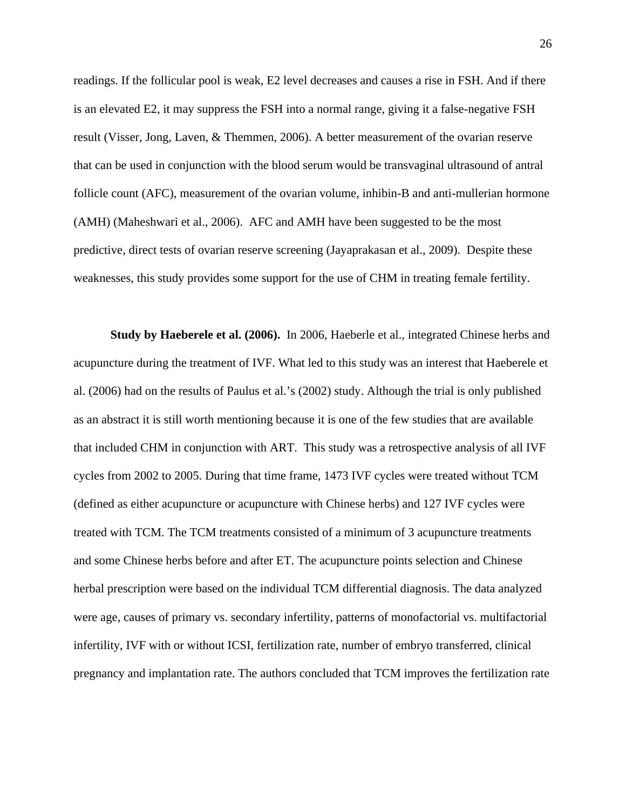readings. If the follicular pool is weak, E2 level decreases and causes a rise in FSH. And if there is an elevated E2, it may suppress the FSH into a normal range, giving it a false-negative FSH result (Visser, Jong, Laven, & Themmen, 2006). A better measurement of the ovarian reserve that can be used in conjunction with the blood serum would be transvaginal ultrasound of antral follicle count (AFC), measurement of the ovarian volume, inhibin-B and anti-mullerian hormone (AMH) (Maheshwari et al., 2006). AFC and AMH have been suggested to be the most predictive, direct tests of ovarian reserve screening (Jayaprakasan et al., 2009). Despite these weaknesses, this study provides some support for the use of CHM in treating female fertility.

**Study by Haeberele et al. (2006).** In 2006, Haeberle et al., integrated Chinese herbs and acupuncture during the treatment of IVF. What led to this study was an interest that Haeberele et al. (2006) had on the results of Paulus et al.'s (2002) study. Although the trial is only published as an abstract it is still worth mentioning because it is one of the few studies that are available that included CHM in conjunction with ART. This study was a retrospective analysis of all IVF cycles from 2002 to 2005. During that time frame, 1473 IVF cycles were treated without TCM (defined as either acupuncture or acupuncture with Chinese herbs) and 127 IVF cycles were treated with TCM. The TCM treatments consisted of a minimum of 3 acupuncture treatments and some Chinese herbs before and after ET. The acupuncture points selection and Chinese herbal prescription were based on the individual TCM differential diagnosis. The data analyzed were age, causes of primary vs. secondary infertility, patterns of monofactorial vs. multifactorial infertility, IVF with or without ICSI, fertilization rate, number of embryo transferred, clinical pregnancy and implantation rate. The authors concluded that TCM improves the fertilization rate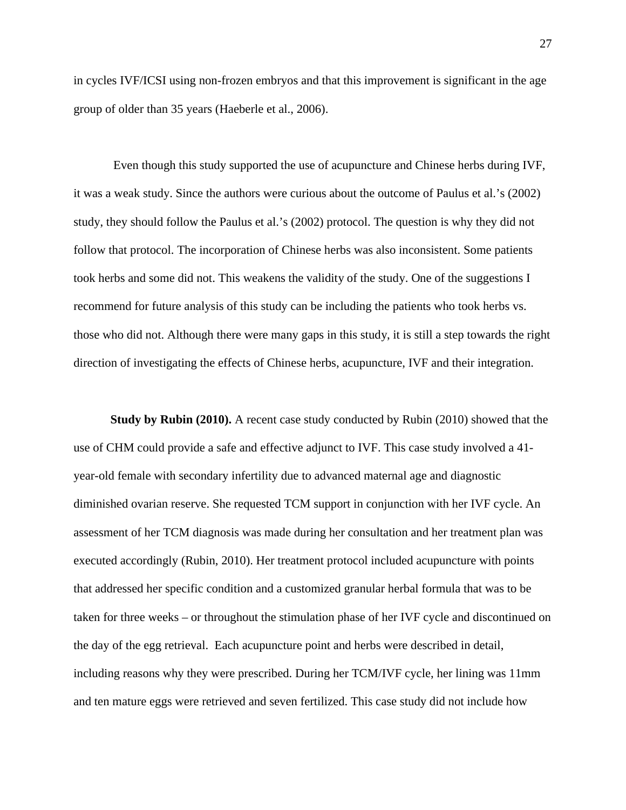in cycles IVF/ICSI using non-frozen embryos and that this improvement is significant in the age group of older than 35 years (Haeberle et al., 2006).

Even though this study supported the use of acupuncture and Chinese herbs during IVF, it was a weak study. Since the authors were curious about the outcome of Paulus et al.'s (2002) study, they should follow the Paulus et al.'s (2002) protocol. The question is why they did not follow that protocol. The incorporation of Chinese herbs was also inconsistent. Some patients took herbs and some did not. This weakens the validity of the study. One of the suggestions I recommend for future analysis of this study can be including the patients who took herbs vs. those who did not. Although there were many gaps in this study, it is still a step towards the right direction of investigating the effects of Chinese herbs, acupuncture, IVF and their integration.

**Study by Rubin (2010).** A recent case study conducted by Rubin (2010) showed that the use of CHM could provide a safe and effective adjunct to IVF. This case study involved a 41 year-old female with secondary infertility due to advanced maternal age and diagnostic diminished ovarian reserve. She requested TCM support in conjunction with her IVF cycle. An assessment of her TCM diagnosis was made during her consultation and her treatment plan was executed accordingly (Rubin, 2010). Her treatment protocol included acupuncture with points that addressed her specific condition and a customized granular herbal formula that was to be taken for three weeks – or throughout the stimulation phase of her IVF cycle and discontinued on the day of the egg retrieval. Each acupuncture point and herbs were described in detail, including reasons why they were prescribed. During her TCM/IVF cycle, her lining was 11mm and ten mature eggs were retrieved and seven fertilized. This case study did not include how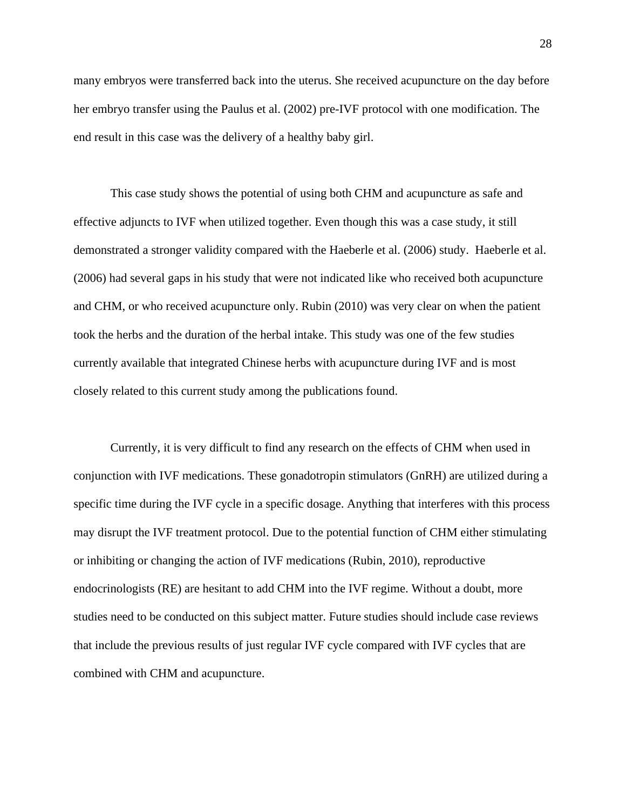many embryos were transferred back into the uterus. She received acupuncture on the day before her embryo transfer using the Paulus et al. (2002) pre-IVF protocol with one modification. The end result in this case was the delivery of a healthy baby girl.

This case study shows the potential of using both CHM and acupuncture as safe and effective adjuncts to IVF when utilized together. Even though this was a case study, it still demonstrated a stronger validity compared with the Haeberle et al. (2006) study. Haeberle et al. (2006) had several gaps in his study that were not indicated like who received both acupuncture and CHM, or who received acupuncture only. Rubin (2010) was very clear on when the patient took the herbs and the duration of the herbal intake. This study was one of the few studies currently available that integrated Chinese herbs with acupuncture during IVF and is most closely related to this current study among the publications found.

Currently, it is very difficult to find any research on the effects of CHM when used in conjunction with IVF medications. These gonadotropin stimulators (GnRH) are utilized during a specific time during the IVF cycle in a specific dosage. Anything that interferes with this process may disrupt the IVF treatment protocol. Due to the potential function of CHM either stimulating or inhibiting or changing the action of IVF medications (Rubin, 2010), reproductive endocrinologists (RE) are hesitant to add CHM into the IVF regime. Without a doubt, more studies need to be conducted on this subject matter. Future studies should include case reviews that include the previous results of just regular IVF cycle compared with IVF cycles that are combined with CHM and acupuncture.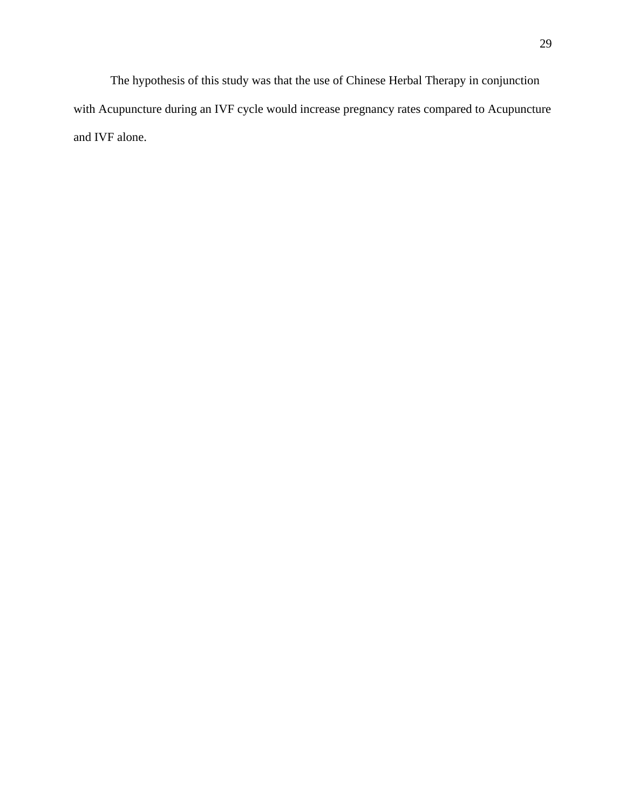The hypothesis of this study was that the use of Chinese Herbal Therapy in conjunction with Acupuncture during an IVF cycle would increase pregnancy rates compared to Acupuncture and IVF alone.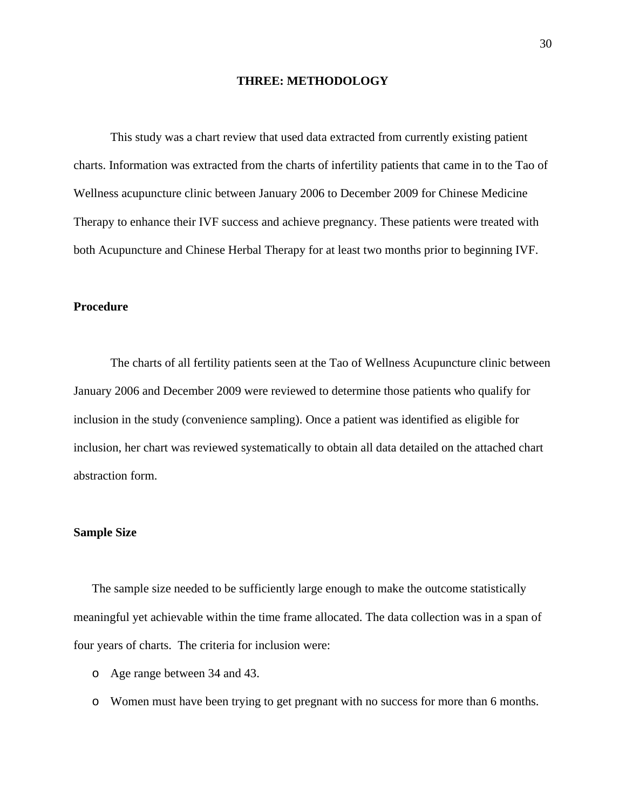#### **THREE: METHODOLOGY**

This study was a chart review that used data extracted from currently existing patient charts. Information was extracted from the charts of infertility patients that came in to the Tao of Wellness acupuncture clinic between January 2006 to December 2009 for Chinese Medicine Therapy to enhance their IVF success and achieve pregnancy. These patients were treated with both Acupuncture and Chinese Herbal Therapy for at least two months prior to beginning IVF.

## **Procedure**

The charts of all fertility patients seen at the Tao of Wellness Acupuncture clinic between January 2006 and December 2009 were reviewed to determine those patients who qualify for inclusion in the study (convenience sampling). Once a patient was identified as eligible for inclusion, her chart was reviewed systematically to obtain all data detailed on the attached chart abstraction form.

#### **Sample Size**

The sample size needed to be sufficiently large enough to make the outcome statistically meaningful yet achievable within the time frame allocated. The data collection was in a span of four years of charts. The criteria for inclusion were:

- o Age range between 34 and 43.
- o Women must have been trying to get pregnant with no success for more than 6 months.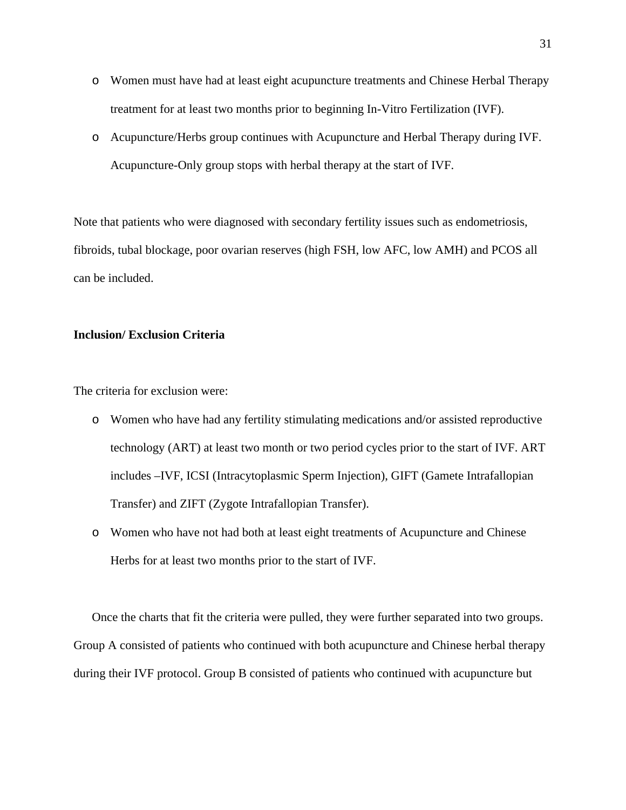- o Women must have had at least eight acupuncture treatments and Chinese Herbal Therapy treatment for at least two months prior to beginning In-Vitro Fertilization (IVF).
- o Acupuncture/Herbs group continues with Acupuncture and Herbal Therapy during IVF. Acupuncture-Only group stops with herbal therapy at the start of IVF.

Note that patients who were diagnosed with secondary fertility issues such as endometriosis, fibroids, tubal blockage, poor ovarian reserves (high FSH, low AFC, low AMH) and PCOS all can be included.

## **Inclusion/ Exclusion Criteria**

The criteria for exclusion were:

- o Women who have had any fertility stimulating medications and/or assisted reproductive technology (ART) at least two month or two period cycles prior to the start of IVF. ART includes –IVF, ICSI (Intracytoplasmic Sperm Injection), GIFT (Gamete Intrafallopian Transfer) and ZIFT (Zygote Intrafallopian Transfer).
- o Women who have not had both at least eight treatments of Acupuncture and Chinese Herbs for at least two months prior to the start of IVF.

Once the charts that fit the criteria were pulled, they were further separated into two groups. Group A consisted of patients who continued with both acupuncture and Chinese herbal therapy during their IVF protocol. Group B consisted of patients who continued with acupuncture but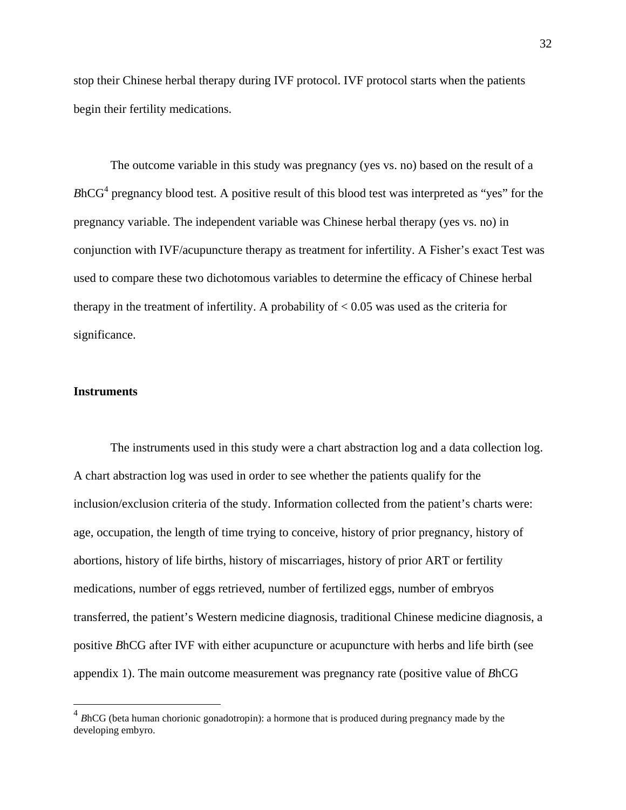stop their Chinese herbal therapy during IVF protocol. IVF protocol starts when the patients begin their fertility medications.

The outcome variable in this study was pregnancy (yes vs. no) based on the result of a  $BhCG<sup>4</sup>$  pregnancy blood test. A positive result of this blood test was interpreted as "yes" for the pregnancy variable. The independent variable was Chinese herbal therapy (yes vs. no) in conjunction with IVF/acupuncture therapy as treatment for infertility. A Fisher's exact Test was used to compare these two dichotomous variables to determine the efficacy of Chinese herbal therapy in the treatment of infertility. A probability of  $< 0.05$  was used as the criteria for significance.

#### **Instruments**

 $\overline{a}$ 

The instruments used in this study were a chart abstraction log and a data collection log. A chart abstraction log was used in order to see whether the patients qualify for the inclusion/exclusion criteria of the study. Information collected from the patient's charts were: age, occupation, the length of time trying to conceive, history of prior pregnancy, history of abortions, history of life births, history of miscarriages, history of prior ART or fertility medications, number of eggs retrieved, number of fertilized eggs, number of embryos transferred, the patient's Western medicine diagnosis, traditional Chinese medicine diagnosis, a positive *B*hCG after IVF with either acupuncture or acupuncture with herbs and life birth (see appendix 1). The main outcome measurement was pregnancy rate (positive value of *B*hCG

<sup>&</sup>lt;sup>4</sup> BhCG (beta human chorionic gonadotropin): a hormone that is produced during pregnancy made by the developing embyro.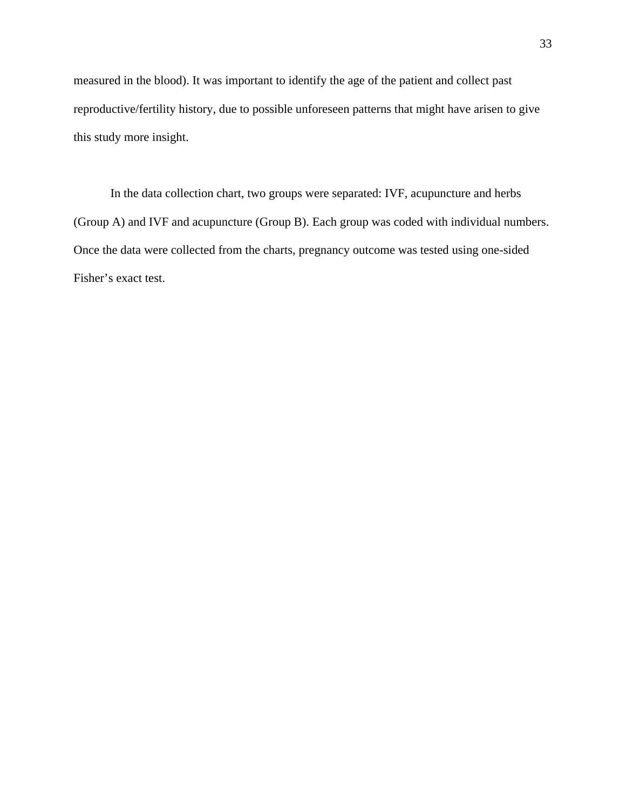measured in the blood). It was important to identify the age of the patient and collect past reproductive/fertility history, due to possible unforeseen patterns that might have arisen to give this study more insight.

In the data collection chart, two groups were separated: IVF, acupuncture and herbs (Group A) and IVF and acupuncture (Group B). Each group was coded with individual numbers. Once the data were collected from the charts, pregnancy outcome was tested using one-sided Fisher's exact test.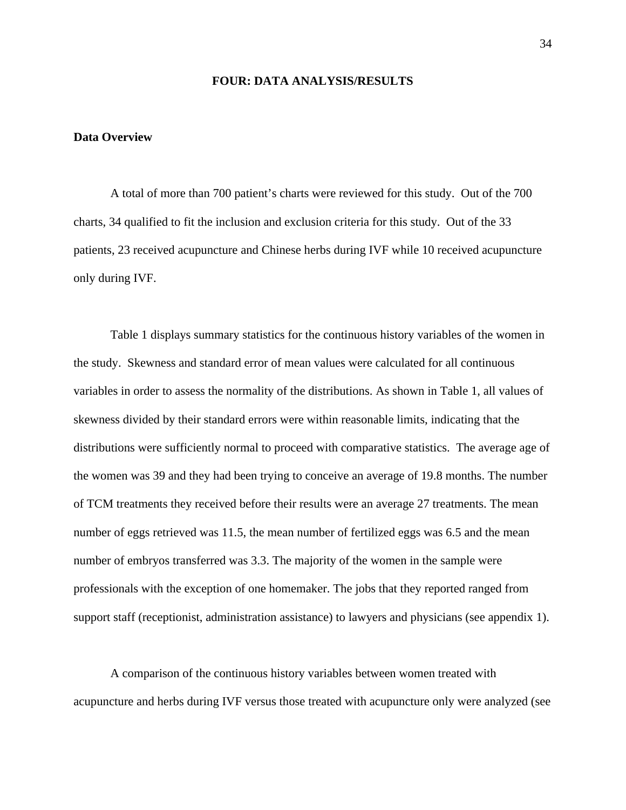#### **FOUR: DATA ANALYSIS/RESULTS**

### **Data Overview**

A total of more than 700 patient's charts were reviewed for this study. Out of the 700 charts, 34 qualified to fit the inclusion and exclusion criteria for this study. Out of the 33 patients, 23 received acupuncture and Chinese herbs during IVF while 10 received acupuncture only during IVF.

Table 1 displays summary statistics for the continuous history variables of the women in the study. Skewness and standard error of mean values were calculated for all continuous variables in order to assess the normality of the distributions. As shown in Table 1, all values of skewness divided by their standard errors were within reasonable limits, indicating that the distributions were sufficiently normal to proceed with comparative statistics. The average age of the women was 39 and they had been trying to conceive an average of 19.8 months. The number of TCM treatments they received before their results were an average 27 treatments. The mean number of eggs retrieved was 11.5, the mean number of fertilized eggs was 6.5 and the mean number of embryos transferred was 3.3. The majority of the women in the sample were professionals with the exception of one homemaker. The jobs that they reported ranged from support staff (receptionist, administration assistance) to lawyers and physicians (see appendix 1).

A comparison of the continuous history variables between women treated with acupuncture and herbs during IVF versus those treated with acupuncture only were analyzed (see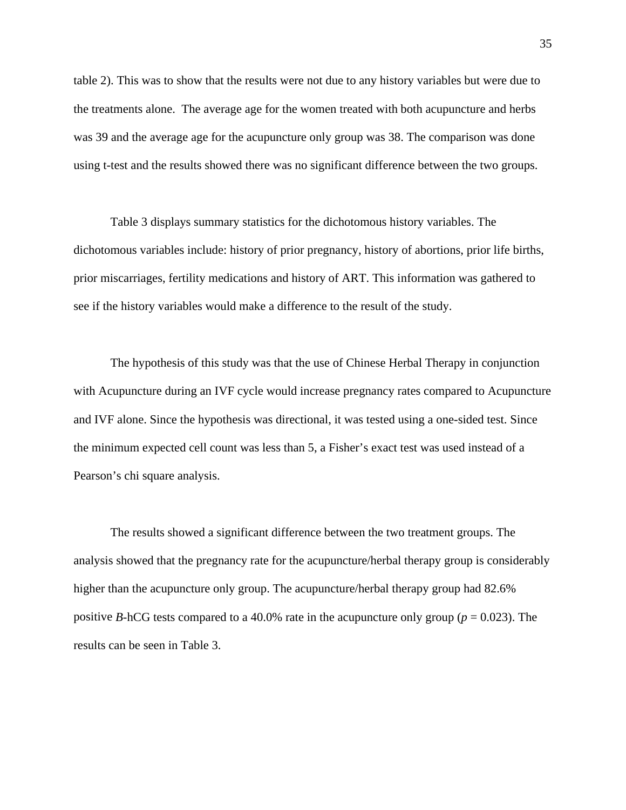table 2). This was to show that the results were not due to any history variables but were due to the treatments alone. The average age for the women treated with both acupuncture and herbs was 39 and the average age for the acupuncture only group was 38. The comparison was done using t-test and the results showed there was no significant difference between the two groups.

Table 3 displays summary statistics for the dichotomous history variables. The dichotomous variables include: history of prior pregnancy, history of abortions, prior life births, prior miscarriages, fertility medications and history of ART. This information was gathered to see if the history variables would make a difference to the result of the study.

The hypothesis of this study was that the use of Chinese Herbal Therapy in conjunction with Acupuncture during an IVF cycle would increase pregnancy rates compared to Acupuncture and IVF alone. Since the hypothesis was directional, it was tested using a one-sided test. Since the minimum expected cell count was less than 5, a Fisher's exact test was used instead of a Pearson's chi square analysis.

The results showed a significant difference between the two treatment groups. The analysis showed that the pregnancy rate for the acupuncture/herbal therapy group is considerably higher than the acupuncture only group. The acupuncture/herbal therapy group had 82.6% positive *B*-hCG tests compared to a 40.0% rate in the acupuncture only group ( $p = 0.023$ ). The results can be seen in Table 3.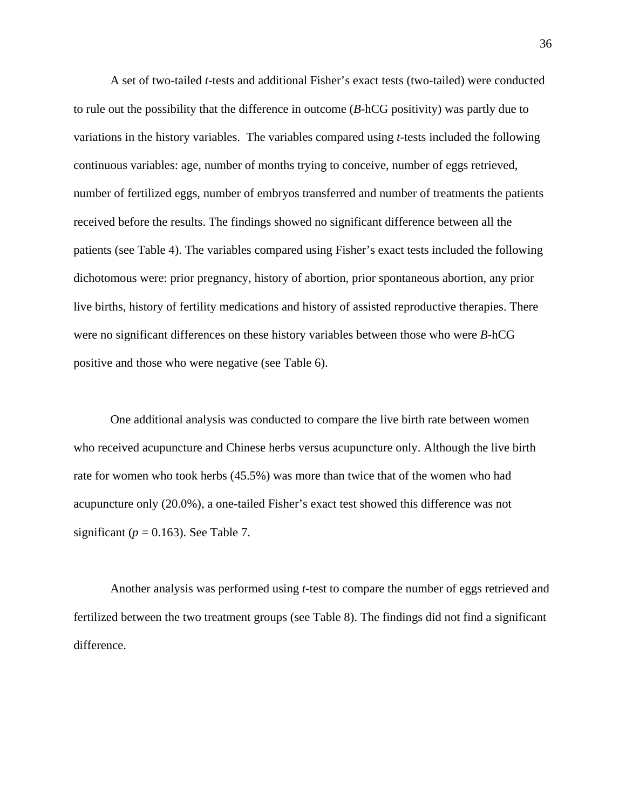A set of two-tailed *t*-tests and additional Fisher's exact tests (two-tailed) were conducted to rule out the possibility that the difference in outcome (*B*-hCG positivity) was partly due to variations in the history variables. The variables compared using *t*-tests included the following continuous variables: age, number of months trying to conceive, number of eggs retrieved, number of fertilized eggs, number of embryos transferred and number of treatments the patients received before the results. The findings showed no significant difference between all the patients (see Table 4). The variables compared using Fisher's exact tests included the following dichotomous were: prior pregnancy, history of abortion, prior spontaneous abortion, any prior live births, history of fertility medications and history of assisted reproductive therapies. There were no significant differences on these history variables between those who were *B*-hCG positive and those who were negative (see Table 6).

One additional analysis was conducted to compare the live birth rate between women who received acupuncture and Chinese herbs versus acupuncture only. Although the live birth rate for women who took herbs (45.5%) was more than twice that of the women who had acupuncture only (20.0%), a one-tailed Fisher's exact test showed this difference was not significant ( $p = 0.163$ ). See Table 7.

Another analysis was performed using *t*-test to compare the number of eggs retrieved and fertilized between the two treatment groups (see Table 8). The findings did not find a significant difference.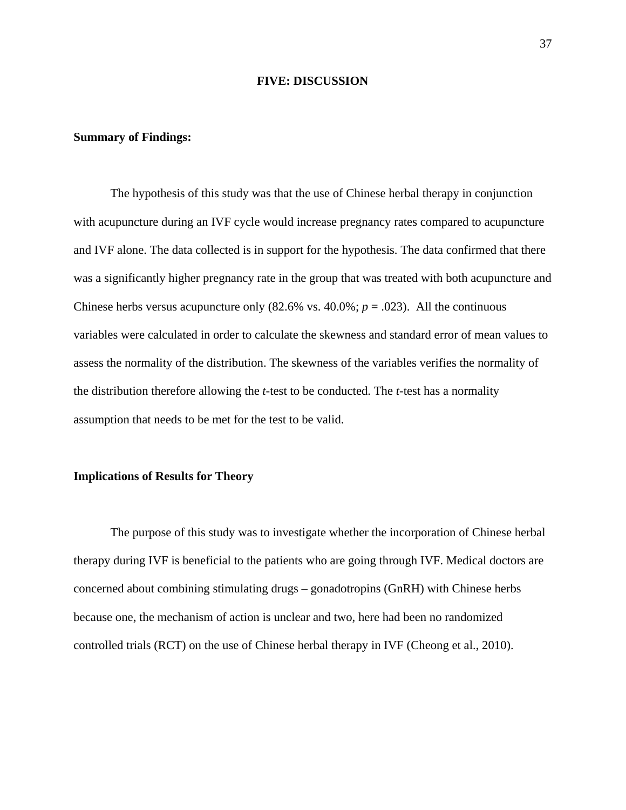#### **FIVE: DISCUSSION**

#### **Summary of Findings:**

The hypothesis of this study was that the use of Chinese herbal therapy in conjunction with acupuncture during an IVF cycle would increase pregnancy rates compared to acupuncture and IVF alone. The data collected is in support for the hypothesis. The data confirmed that there was a significantly higher pregnancy rate in the group that was treated with both acupuncture and Chinese herbs versus acupuncture only  $(82.6\% \text{ vs. } 40.0\%; p = .023)$ . All the continuous variables were calculated in order to calculate the skewness and standard error of mean values to assess the normality of the distribution. The skewness of the variables verifies the normality of the distribution therefore allowing the *t*-test to be conducted. The *t*-test has a normality assumption that needs to be met for the test to be valid.

### **Implications of Results for Theory**

The purpose of this study was to investigate whether the incorporation of Chinese herbal therapy during IVF is beneficial to the patients who are going through IVF. Medical doctors are concerned about combining stimulating drugs – gonadotropins (GnRH) with Chinese herbs because one, the mechanism of action is unclear and two, here had been no randomized controlled trials (RCT) on the use of Chinese herbal therapy in IVF (Cheong et al., 2010).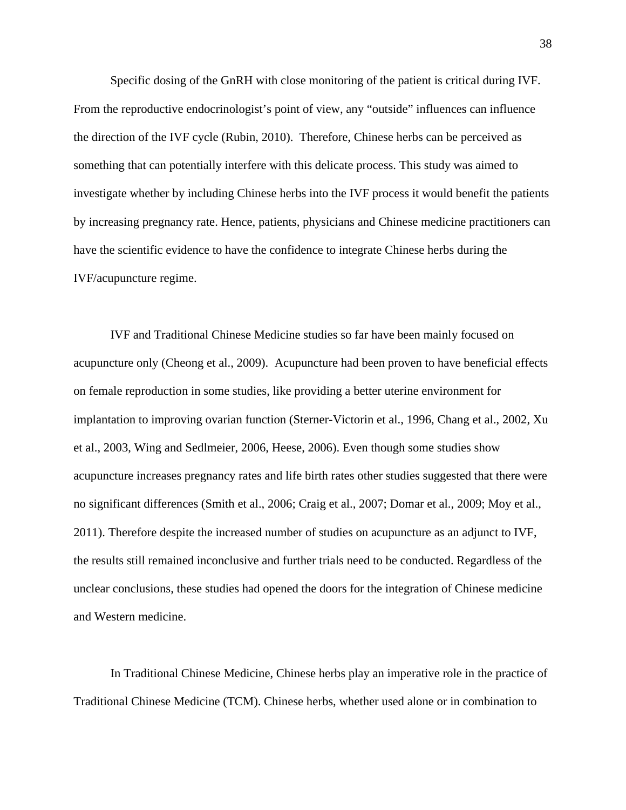Specific dosing of the GnRH with close monitoring of the patient is critical during IVF. From the reproductive endocrinologist's point of view, any "outside" influences can influence the direction of the IVF cycle (Rubin, 2010). Therefore, Chinese herbs can be perceived as something that can potentially interfere with this delicate process. This study was aimed to investigate whether by including Chinese herbs into the IVF process it would benefit the patients by increasing pregnancy rate. Hence, patients, physicians and Chinese medicine practitioners can have the scientific evidence to have the confidence to integrate Chinese herbs during the IVF/acupuncture regime.

IVF and Traditional Chinese Medicine studies so far have been mainly focused on acupuncture only (Cheong et al., 2009). Acupuncture had been proven to have beneficial effects on female reproduction in some studies, like providing a better uterine environment for implantation to improving ovarian function (Sterner-Victorin et al., 1996, Chang et al., 2002, Xu et al., 2003, Wing and Sedlmeier, 2006, Heese, 2006). Even though some studies show acupuncture increases pregnancy rates and life birth rates other studies suggested that there were no significant differences (Smith et al., 2006; Craig et al., 2007; Domar et al., 2009; Moy et al., 2011). Therefore despite the increased number of studies on acupuncture as an adjunct to IVF, the results still remained inconclusive and further trials need to be conducted. Regardless of the unclear conclusions, these studies had opened the doors for the integration of Chinese medicine and Western medicine.

In Traditional Chinese Medicine, Chinese herbs play an imperative role in the practice of Traditional Chinese Medicine (TCM). Chinese herbs, whether used alone or in combination to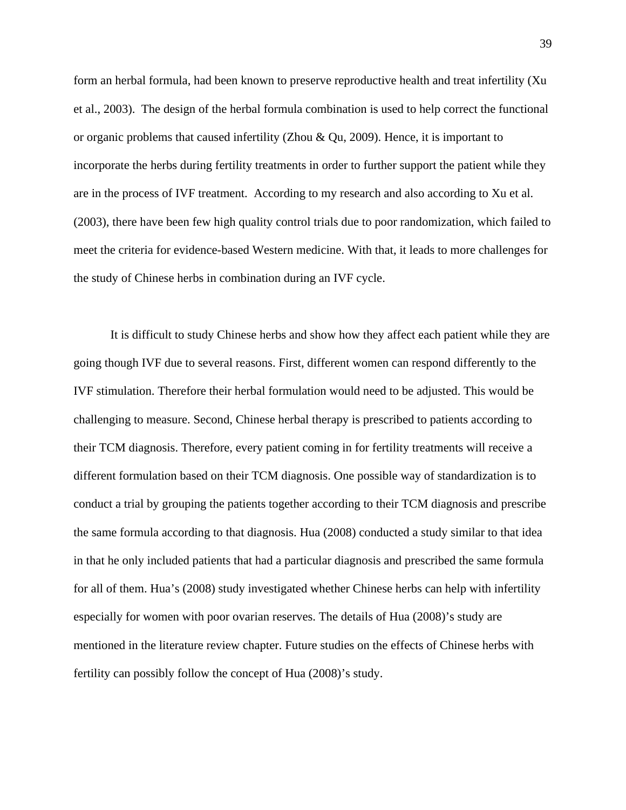form an herbal formula, had been known to preserve reproductive health and treat infertility (Xu et al., 2003). The design of the herbal formula combination is used to help correct the functional or organic problems that caused infertility (Zhou & Qu, 2009). Hence, it is important to incorporate the herbs during fertility treatments in order to further support the patient while they are in the process of IVF treatment. According to my research and also according to Xu et al. (2003), there have been few high quality control trials due to poor randomization, which failed to meet the criteria for evidence-based Western medicine. With that, it leads to more challenges for the study of Chinese herbs in combination during an IVF cycle.

It is difficult to study Chinese herbs and show how they affect each patient while they are going though IVF due to several reasons. First, different women can respond differently to the IVF stimulation. Therefore their herbal formulation would need to be adjusted. This would be challenging to measure. Second, Chinese herbal therapy is prescribed to patients according to their TCM diagnosis. Therefore, every patient coming in for fertility treatments will receive a different formulation based on their TCM diagnosis. One possible way of standardization is to conduct a trial by grouping the patients together according to their TCM diagnosis and prescribe the same formula according to that diagnosis. Hua (2008) conducted a study similar to that idea in that he only included patients that had a particular diagnosis and prescribed the same formula for all of them. Hua's (2008) study investigated whether Chinese herbs can help with infertility especially for women with poor ovarian reserves. The details of Hua (2008)'s study are mentioned in the literature review chapter. Future studies on the effects of Chinese herbs with fertility can possibly follow the concept of Hua (2008)'s study.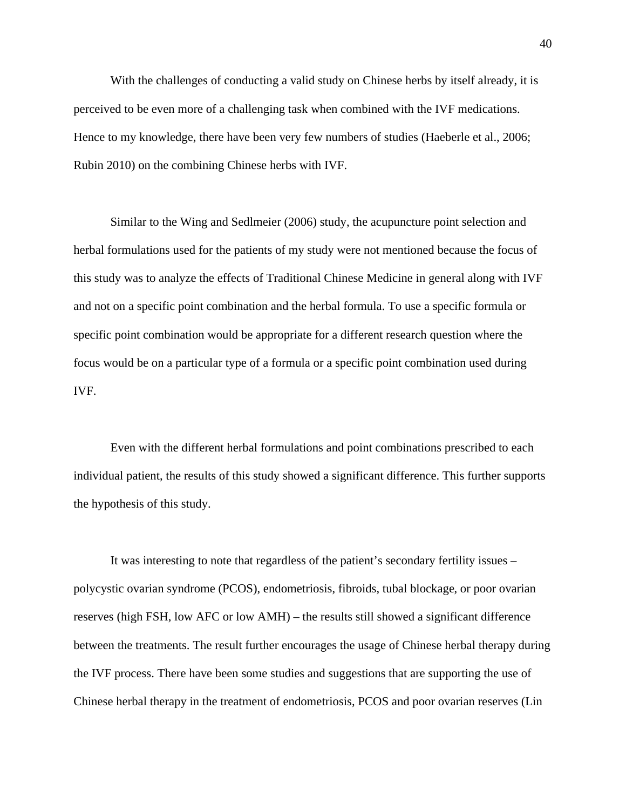With the challenges of conducting a valid study on Chinese herbs by itself already, it is perceived to be even more of a challenging task when combined with the IVF medications. Hence to my knowledge, there have been very few numbers of studies (Haeberle et al., 2006; Rubin 2010) on the combining Chinese herbs with IVF.

Similar to the Wing and Sedlmeier (2006) study, the acupuncture point selection and herbal formulations used for the patients of my study were not mentioned because the focus of this study was to analyze the effects of Traditional Chinese Medicine in general along with IVF and not on a specific point combination and the herbal formula. To use a specific formula or specific point combination would be appropriate for a different research question where the focus would be on a particular type of a formula or a specific point combination used during IVF.

Even with the different herbal formulations and point combinations prescribed to each individual patient, the results of this study showed a significant difference. This further supports the hypothesis of this study.

It was interesting to note that regardless of the patient's secondary fertility issues – polycystic ovarian syndrome (PCOS), endometriosis, fibroids, tubal blockage, or poor ovarian reserves (high FSH, low AFC or low AMH) – the results still showed a significant difference between the treatments. The result further encourages the usage of Chinese herbal therapy during the IVF process. There have been some studies and suggestions that are supporting the use of Chinese herbal therapy in the treatment of endometriosis, PCOS and poor ovarian reserves (Lin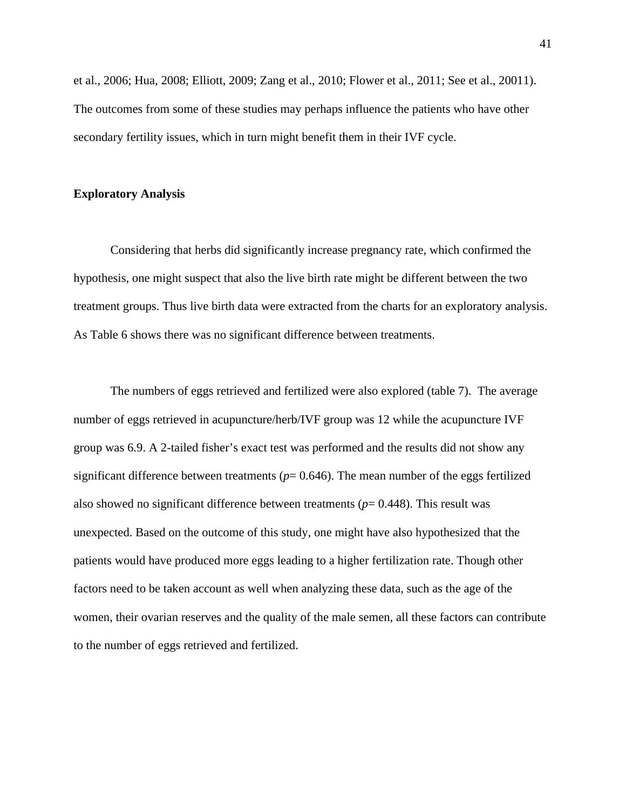et al., 2006; Hua, 2008; Elliott, 2009; Zang et al., 2010; Flower et al., 2011; See et al., 20011). The outcomes from some of these studies may perhaps influence the patients who have other secondary fertility issues, which in turn might benefit them in their IVF cycle.

#### **Exploratory Analysis**

Considering that herbs did significantly increase pregnancy rate, which confirmed the hypothesis, one might suspect that also the live birth rate might be different between the two treatment groups. Thus live birth data were extracted from the charts for an exploratory analysis. As Table 6 shows there was no significant difference between treatments.

The numbers of eggs retrieved and fertilized were also explored (table 7). The average number of eggs retrieved in acupuncture/herb/IVF group was 12 while the acupuncture IVF group was 6.9. A 2-tailed fisher's exact test was performed and the results did not show any significant difference between treatments ( $p= 0.646$ ). The mean number of the eggs fertilized also showed no significant difference between treatments  $(p= 0.448)$ . This result was unexpected. Based on the outcome of this study, one might have also hypothesized that the patients would have produced more eggs leading to a higher fertilization rate. Though other factors need to be taken account as well when analyzing these data, such as the age of the women, their ovarian reserves and the quality of the male semen, all these factors can contribute to the number of eggs retrieved and fertilized.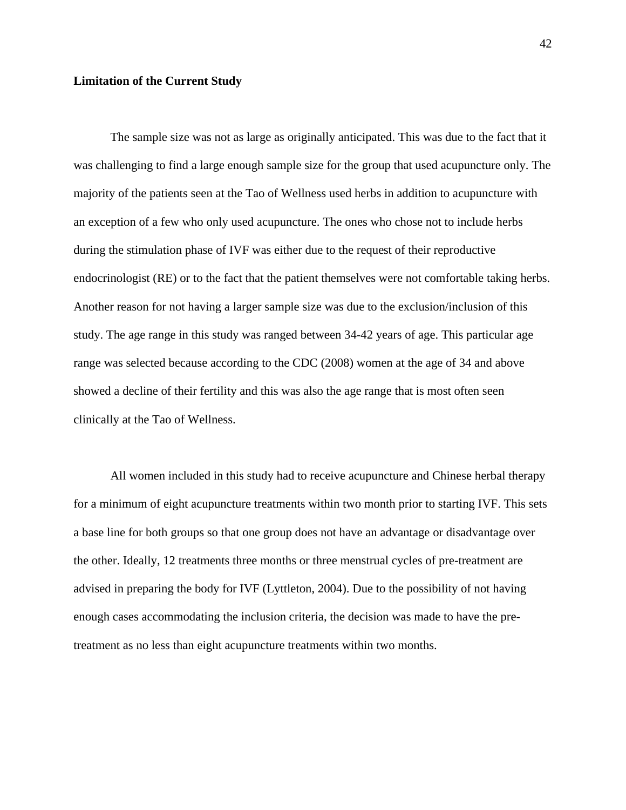### **Limitation of the Current Study**

The sample size was not as large as originally anticipated. This was due to the fact that it was challenging to find a large enough sample size for the group that used acupuncture only. The majority of the patients seen at the Tao of Wellness used herbs in addition to acupuncture with an exception of a few who only used acupuncture. The ones who chose not to include herbs during the stimulation phase of IVF was either due to the request of their reproductive endocrinologist (RE) or to the fact that the patient themselves were not comfortable taking herbs. Another reason for not having a larger sample size was due to the exclusion/inclusion of this study. The age range in this study was ranged between 34-42 years of age. This particular age range was selected because according to the CDC (2008) women at the age of 34 and above showed a decline of their fertility and this was also the age range that is most often seen clinically at the Tao of Wellness.

All women included in this study had to receive acupuncture and Chinese herbal therapy for a minimum of eight acupuncture treatments within two month prior to starting IVF. This sets a base line for both groups so that one group does not have an advantage or disadvantage over the other. Ideally, 12 treatments three months or three menstrual cycles of pre-treatment are advised in preparing the body for IVF (Lyttleton, 2004). Due to the possibility of not having enough cases accommodating the inclusion criteria, the decision was made to have the pretreatment as no less than eight acupuncture treatments within two months.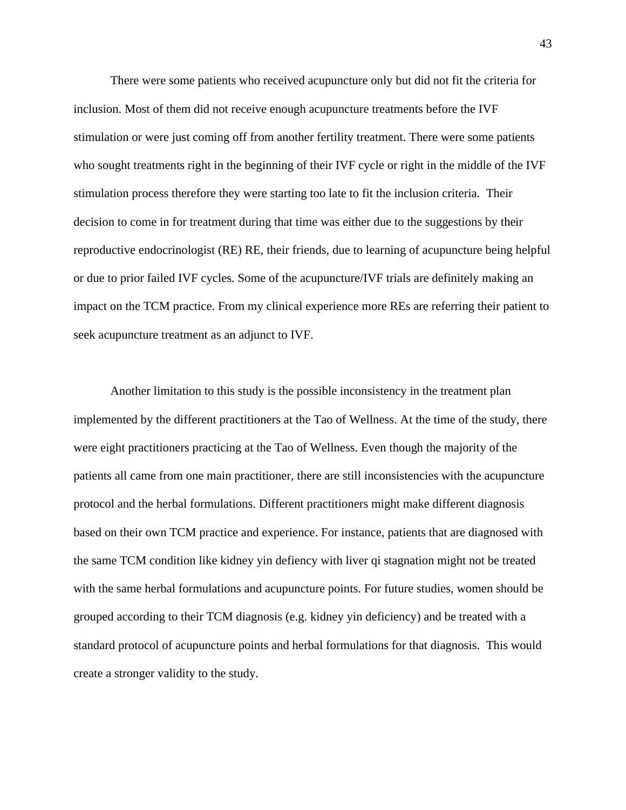There were some patients who received acupuncture only but did not fit the criteria for inclusion. Most of them did not receive enough acupuncture treatments before the IVF stimulation or were just coming off from another fertility treatment. There were some patients who sought treatments right in the beginning of their IVF cycle or right in the middle of the IVF stimulation process therefore they were starting too late to fit the inclusion criteria. Their decision to come in for treatment during that time was either due to the suggestions by their reproductive endocrinologist (RE) RE, their friends, due to learning of acupuncture being helpful or due to prior failed IVF cycles. Some of the acupuncture/IVF trials are definitely making an impact on the TCM practice. From my clinical experience more REs are referring their patient to seek acupuncture treatment as an adjunct to IVF.

Another limitation to this study is the possible inconsistency in the treatment plan implemented by the different practitioners at the Tao of Wellness. At the time of the study, there were eight practitioners practicing at the Tao of Wellness. Even though the majority of the patients all came from one main practitioner, there are still inconsistencies with the acupuncture protocol and the herbal formulations. Different practitioners might make different diagnosis based on their own TCM practice and experience. For instance, patients that are diagnosed with the same TCM condition like kidney yin defiency with liver qi stagnation might not be treated with the same herbal formulations and acupuncture points. For future studies, women should be grouped according to their TCM diagnosis (e.g. kidney yin deficiency) and be treated with a standard protocol of acupuncture points and herbal formulations for that diagnosis. This would create a stronger validity to the study.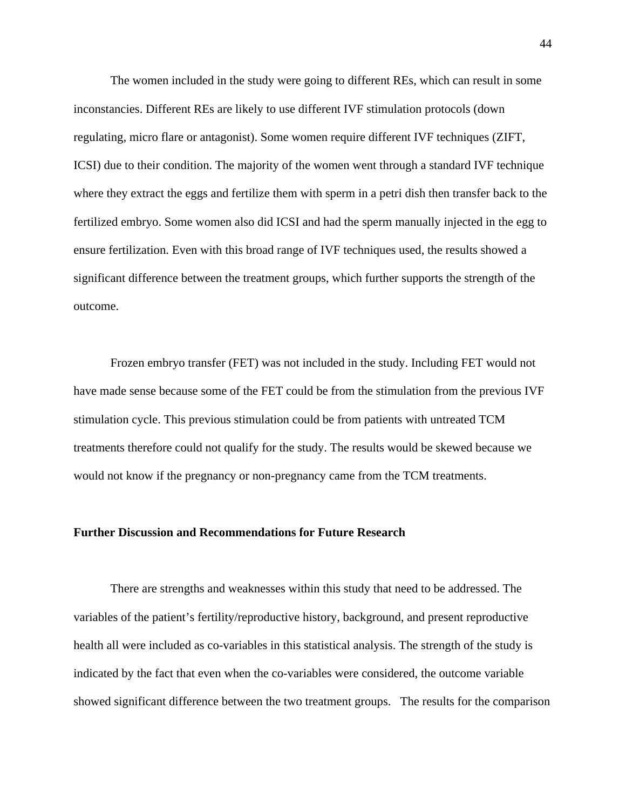The women included in the study were going to different REs, which can result in some inconstancies. Different REs are likely to use different IVF stimulation protocols (down regulating, micro flare or antagonist). Some women require different IVF techniques (ZIFT, ICSI) due to their condition. The majority of the women went through a standard IVF technique where they extract the eggs and fertilize them with sperm in a petri dish then transfer back to the fertilized embryo. Some women also did ICSI and had the sperm manually injected in the egg to ensure fertilization. Even with this broad range of IVF techniques used, the results showed a significant difference between the treatment groups, which further supports the strength of the outcome.

Frozen embryo transfer (FET) was not included in the study. Including FET would not have made sense because some of the FET could be from the stimulation from the previous IVF stimulation cycle. This previous stimulation could be from patients with untreated TCM treatments therefore could not qualify for the study. The results would be skewed because we would not know if the pregnancy or non-pregnancy came from the TCM treatments.

#### **Further Discussion and Recommendations for Future Research**

There are strengths and weaknesses within this study that need to be addressed. The variables of the patient's fertility/reproductive history, background, and present reproductive health all were included as co-variables in this statistical analysis. The strength of the study is indicated by the fact that even when the co-variables were considered, the outcome variable showed significant difference between the two treatment groups. The results for the comparison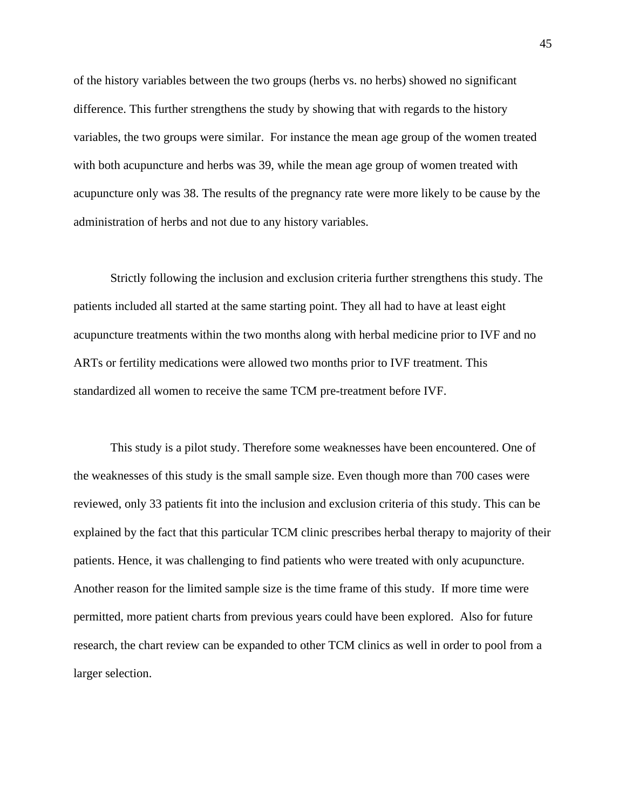of the history variables between the two groups (herbs vs. no herbs) showed no significant difference. This further strengthens the study by showing that with regards to the history variables, the two groups were similar. For instance the mean age group of the women treated with both acupuncture and herbs was 39, while the mean age group of women treated with acupuncture only was 38. The results of the pregnancy rate were more likely to be cause by the administration of herbs and not due to any history variables.

Strictly following the inclusion and exclusion criteria further strengthens this study. The patients included all started at the same starting point. They all had to have at least eight acupuncture treatments within the two months along with herbal medicine prior to IVF and no ARTs or fertility medications were allowed two months prior to IVF treatment. This standardized all women to receive the same TCM pre-treatment before IVF.

This study is a pilot study. Therefore some weaknesses have been encountered. One of the weaknesses of this study is the small sample size. Even though more than 700 cases were reviewed, only 33 patients fit into the inclusion and exclusion criteria of this study. This can be explained by the fact that this particular TCM clinic prescribes herbal therapy to majority of their patients. Hence, it was challenging to find patients who were treated with only acupuncture. Another reason for the limited sample size is the time frame of this study. If more time were permitted, more patient charts from previous years could have been explored. Also for future research, the chart review can be expanded to other TCM clinics as well in order to pool from a larger selection.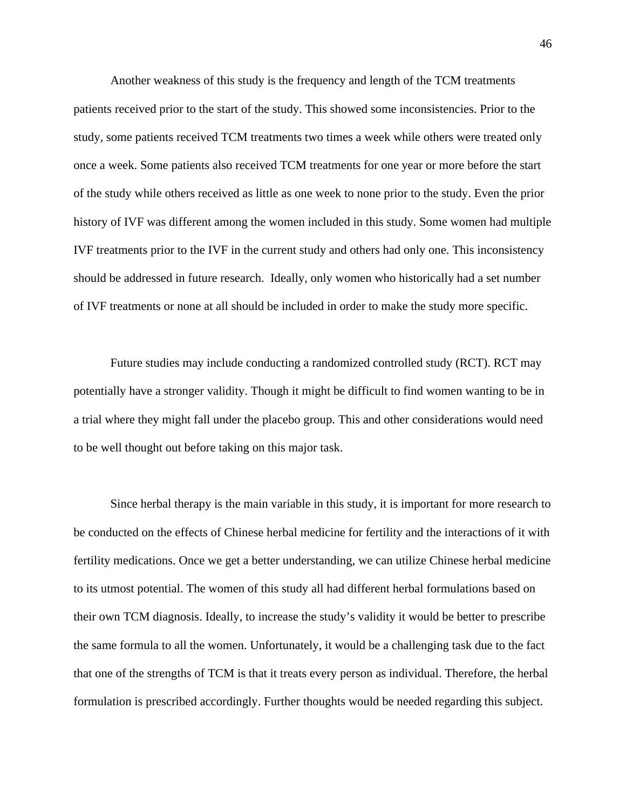Another weakness of this study is the frequency and length of the TCM treatments patients received prior to the start of the study. This showed some inconsistencies. Prior to the study, some patients received TCM treatments two times a week while others were treated only once a week. Some patients also received TCM treatments for one year or more before the start of the study while others received as little as one week to none prior to the study. Even the prior history of IVF was different among the women included in this study. Some women had multiple IVF treatments prior to the IVF in the current study and others had only one. This inconsistency should be addressed in future research. Ideally, only women who historically had a set number of IVF treatments or none at all should be included in order to make the study more specific.

Future studies may include conducting a randomized controlled study (RCT). RCT may potentially have a stronger validity. Though it might be difficult to find women wanting to be in a trial where they might fall under the placebo group. This and other considerations would need to be well thought out before taking on this major task.

Since herbal therapy is the main variable in this study, it is important for more research to be conducted on the effects of Chinese herbal medicine for fertility and the interactions of it with fertility medications. Once we get a better understanding, we can utilize Chinese herbal medicine to its utmost potential. The women of this study all had different herbal formulations based on their own TCM diagnosis. Ideally, to increase the study's validity it would be better to prescribe the same formula to all the women. Unfortunately, it would be a challenging task due to the fact that one of the strengths of TCM is that it treats every person as individual. Therefore, the herbal formulation is prescribed accordingly. Further thoughts would be needed regarding this subject.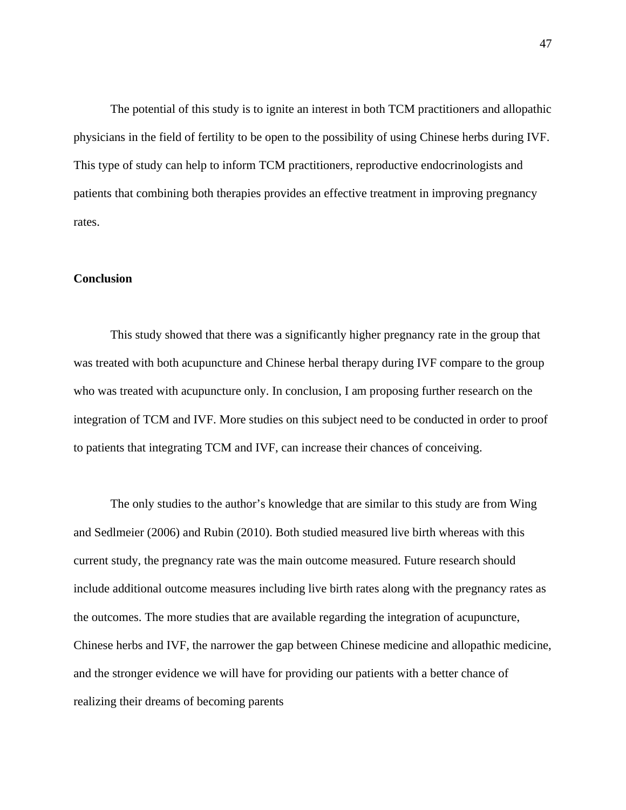The potential of this study is to ignite an interest in both TCM practitioners and allopathic physicians in the field of fertility to be open to the possibility of using Chinese herbs during IVF. This type of study can help to inform TCM practitioners, reproductive endocrinologists and patients that combining both therapies provides an effective treatment in improving pregnancy rates.

#### **Conclusion**

This study showed that there was a significantly higher pregnancy rate in the group that was treated with both acupuncture and Chinese herbal therapy during IVF compare to the group who was treated with acupuncture only. In conclusion, I am proposing further research on the integration of TCM and IVF. More studies on this subject need to be conducted in order to proof to patients that integrating TCM and IVF, can increase their chances of conceiving.

The only studies to the author's knowledge that are similar to this study are from Wing and Sedlmeier (2006) and Rubin (2010). Both studied measured live birth whereas with this current study, the pregnancy rate was the main outcome measured. Future research should include additional outcome measures including live birth rates along with the pregnancy rates as the outcomes. The more studies that are available regarding the integration of acupuncture, Chinese herbs and IVF, the narrower the gap between Chinese medicine and allopathic medicine, and the stronger evidence we will have for providing our patients with a better chance of realizing their dreams of becoming parents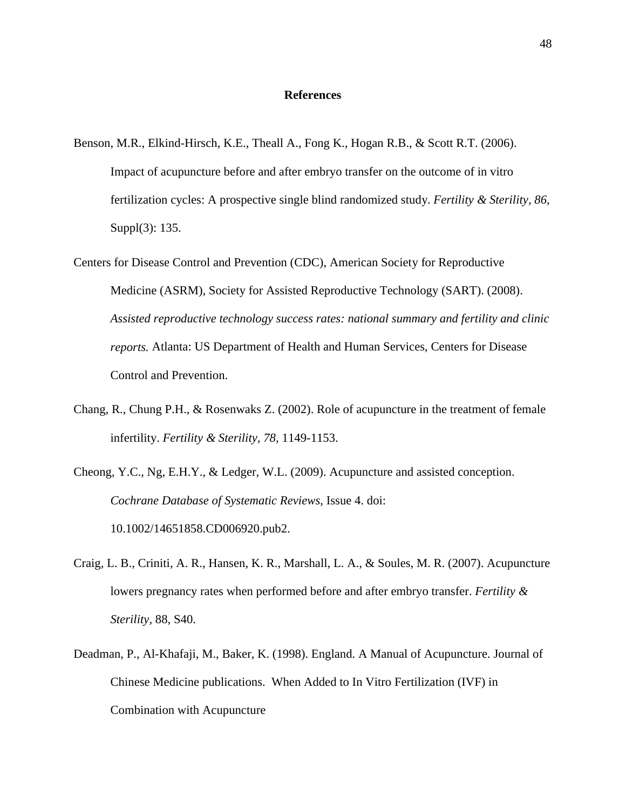#### **References**

- Benson, M.R., Elkind-Hirsch, K.E., Theall A., Fong K., Hogan R.B., & Scott R.T. (2006). Impact of acupuncture before and after embryo transfer on the outcome of in vitro fertilization cycles: A prospective single blind randomized study. *Fertility & Sterility, 86,*  Suppl(3): 135.
- Centers for Disease Control and Prevention (CDC), American Society for Reproductive Medicine (ASRM), Society for Assisted Reproductive Technology (SART). (2008). *Assisted reproductive technology success rates: national summary and fertility and clinic reports.* Atlanta: US Department of Health and Human Services, Centers for Disease Control and Prevention.
- Chang, R., Chung P.H., & Rosenwaks Z. (2002). Role of acupuncture in the treatment of female infertility. *Fertility & Sterility, 78,* 1149-1153.
- Cheong, Y.C., Ng, E.H.Y., & Ledger, W.L. (2009). Acupuncture and assisted conception. *Cochrane Database of Systematic Reviews*, Issue 4. doi: 10.1002/14651858.CD006920.pub2.
- Craig, L. B., Criniti, A. R., Hansen, K. R., Marshall, L. A., & Soules, M. R. (2007). Acupuncture lowers pregnancy rates when performed before and after embryo transfer. *Fertility & Sterility*, 88, S40.
- Deadman, P., Al-Khafaji, M., Baker, K. (1998). England. A Manual of Acupuncture. Journal of Chinese Medicine publications. When Added to In Vitro Fertilization (IVF) in Combination with Acupuncture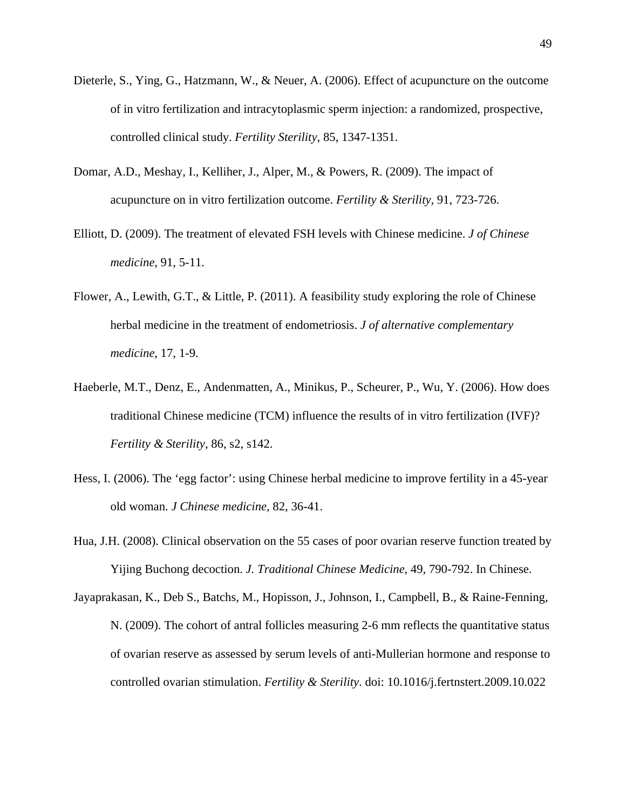- Dieterle, S., Ying, G., Hatzmann, W., & Neuer, A. (2006). Effect of acupuncture on the outcome of in vitro fertilization and intracytoplasmic sperm injection: a randomized, prospective, controlled clinical study. *Fertility Sterility*, 85, 1347-1351.
- Domar, A.D., Meshay, I., Kelliher, J., Alper, M., & Powers, R. (2009). The impact of acupuncture on in vitro fertilization outcome. *Fertility & Sterility,* 91, 723-726.
- Elliott, D. (2009). The treatment of elevated FSH levels with Chinese medicine. *J of Chinese medicine*, 91, 5-11.
- Flower, A., Lewith, G.T., & Little, P. (2011). A feasibility study exploring the role of Chinese herbal medicine in the treatment of endometriosis. *J of alternative complementary medicine*, 17, 1-9.
- Haeberle, M.T., Denz, E., Andenmatten, A., Minikus, P., Scheurer, P., Wu, Y. (2006). How does traditional Chinese medicine (TCM) influence the results of in vitro fertilization (IVF)? *Fertility & Sterility*, 86, s2, s142.
- Hess, I. (2006). The 'egg factor': using Chinese herbal medicine to improve fertility in a 45-year old woman. *J Chinese medicine*, 82, 36-41.
- Hua, J.H. (2008). Clinical observation on the 55 cases of poor ovarian reserve function treated by Yijing Buchong decoction. *J. Traditional Chinese Medicine*, 49, 790-792. In Chinese.
- Jayaprakasan, K., Deb S., Batchs, M., Hopisson, J., Johnson, I., Campbell, B., & Raine-Fenning, N. (2009). The cohort of antral follicles measuring 2-6 mm reflects the quantitative status of ovarian reserve as assessed by serum levels of anti-Mullerian hormone and response to controlled ovarian stimulation. *Fertility & Sterility*. doi: 10.1016/j.fertnstert.2009.10.022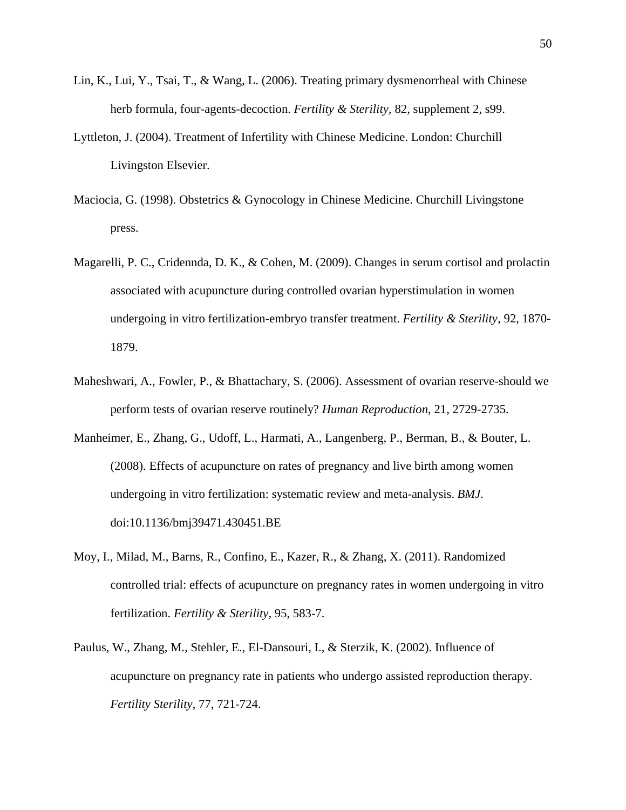- Lin, K., Lui, Y., Tsai, T., & Wang, L. (2006). Treating primary dysmenorrheal with Chinese herb formula, four-agents-decoction. *Fertility & Sterility,* 82, supplement 2, s99.
- Lyttleton, J. (2004). Treatment of Infertility with Chinese Medicine. London: Churchill Livingston Elsevier.
- Maciocia, G. (1998). Obstetrics & Gynocology in Chinese Medicine. Churchill Livingstone press.
- Magarelli, P. C., Cridennda, D. K., & Cohen, M. (2009). Changes in serum cortisol and prolactin associated with acupuncture during controlled ovarian hyperstimulation in women undergoing in vitro fertilization-embryo transfer treatment. *Fertility & Sterility*, 92, 1870- 1879.
- Maheshwari, A., Fowler, P., & Bhattachary, S. (2006). Assessment of ovarian reserve-should we perform tests of ovarian reserve routinely? *Human Reproduction*, 21, 2729-2735.
- Manheimer, E., Zhang, G., Udoff, L., Harmati, A., Langenberg, P., Berman, B., & Bouter, L. (2008). Effects of acupuncture on rates of pregnancy and live birth among women undergoing in vitro fertilization: systematic review and meta-analysis. *BMJ*. doi:10.1136/bmj39471.430451.BE
- Moy, I., Milad, M., Barns, R., Confino, E., Kazer, R., & Zhang, X. (2011). Randomized controlled trial: effects of acupuncture on pregnancy rates in women undergoing in vitro fertilization. *Fertility & Sterility*, 95, 583-7.
- Paulus, W., Zhang, M., Stehler, E., El-Dansouri, I., & Sterzik, K. (2002). Influence of acupuncture on pregnancy rate in patients who undergo assisted reproduction therapy. *Fertility Sterility*, 77, 721-724.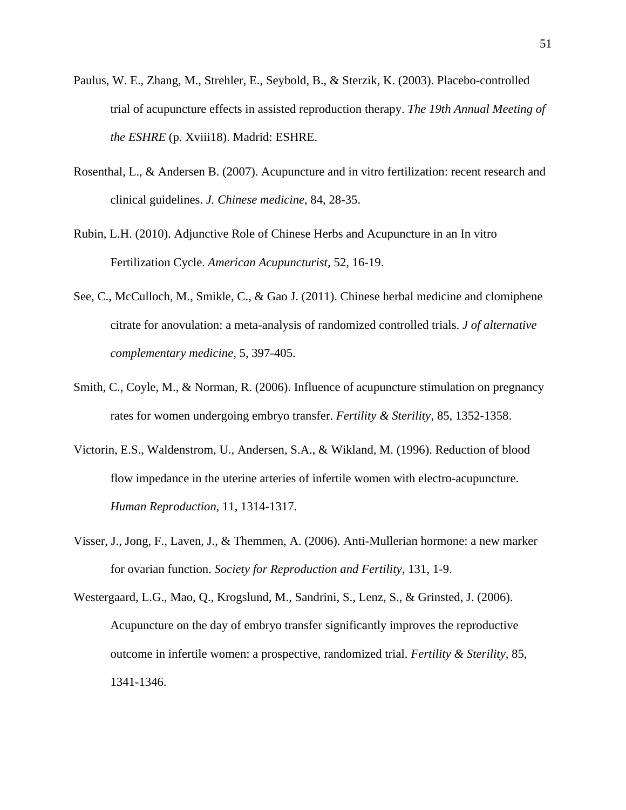- Paulus, W. E., Zhang, M., Strehler, E., Seybold, B., & Sterzik, K. (2003). Placebo-controlled trial of acupuncture effects in assisted reproduction therapy. *The 19th Annual Meeting of the ESHRE* (p. Xviii18). Madrid: ESHRE.
- Rosenthal, L., & Andersen B. (2007). Acupuncture and in vitro fertilization: recent research and clinical guidelines. *J. Chinese medicine*, 84, 28-35.
- Rubin, L.H. (2010). Adjunctive Role of Chinese Herbs and Acupuncture in an In vitro Fertilization Cycle. *American Acupuncturist*, 52, 16-19.
- See, C., McCulloch, M., Smikle, C., & Gao J. (2011). Chinese herbal medicine and clomiphene citrate for anovulation: a meta-analysis of randomized controlled trials. *J of alternative complementary medicine*, 5, 397-405.
- Smith, C., Coyle, M., & Norman, R. (2006). Influence of acupuncture stimulation on pregnancy rates for women undergoing embryo transfer. *Fertility & Sterility*, 85, 1352-1358.
- Victorin, E.S., Waldenstrom, U., Andersen, S.A., & Wikland, M. (1996). Reduction of blood flow impedance in the uterine arteries of infertile women with electro-acupuncture. *Human Reproduction*, 11, 1314-1317.
- Visser, J., Jong, F., Laven, J., & Themmen, A. (2006). Anti-Mullerian hormone: a new marker for ovarian function. *Society for Reproduction and Fertility*, 131, 1-9.
- Westergaard, L.G., Mao, Q., Krogslund, M., Sandrini, S., Lenz, S., & Grinsted, J. (2006). Acupuncture on the day of embryo transfer significantly improves the reproductive outcome in infertile women: a prospective, randomized trial. *Fertility & Sterility*, 85, 1341-1346.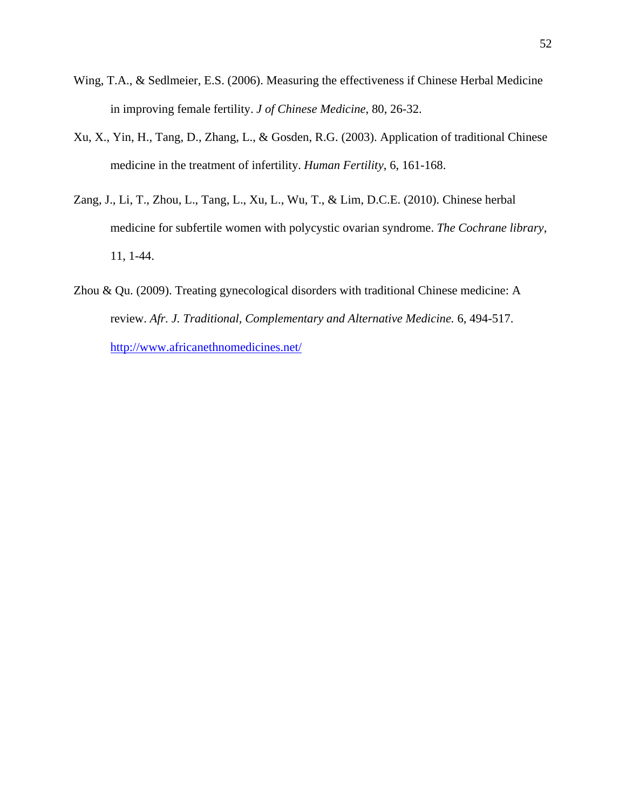- Wing, T.A., & Sedlmeier, E.S. (2006). Measuring the effectiveness if Chinese Herbal Medicine in improving female fertility. *J of Chinese Medicine*, 80, 26-32.
- Xu, X., Yin, H., Tang, D., Zhang, L., & Gosden, R.G. (2003). Application of traditional Chinese medicine in the treatment of infertility. *Human Fertility*, 6, 161-168.
- Zang, J., Li, T., Zhou, L., Tang, L., Xu, L., Wu, T., & Lim, D.C.E. (2010). Chinese herbal medicine for subfertile women with polycystic ovarian syndrome. *The Cochrane library*, 11, 1-44.
- Zhou & Qu. (2009). Treating gynecological disorders with traditional Chinese medicine: A review. *Afr. J. Traditional, Complementary and Alternative Medicine.* 6, 494-517. http://www.africanethnomedicines.net/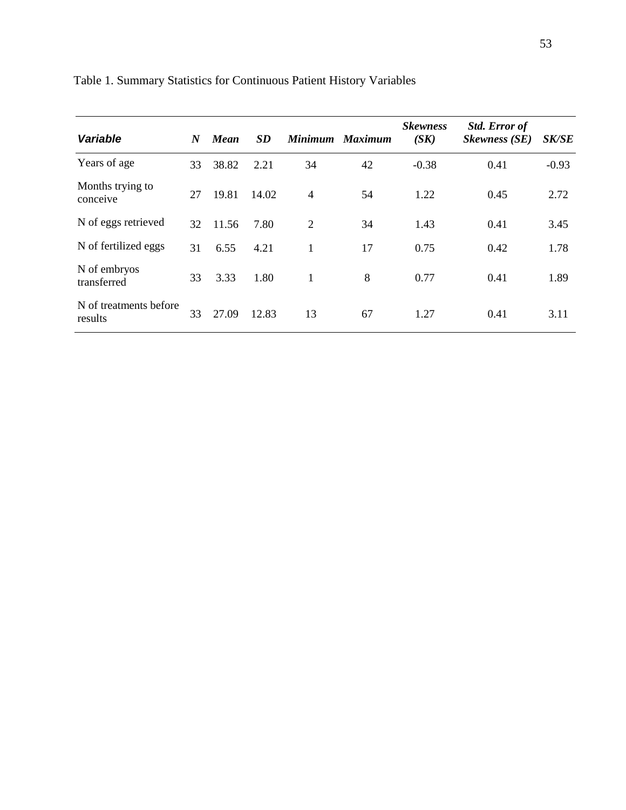| Variable                          | N  | <b>Mean</b> | <i>SD</i> |    | Minimum Maximum | <b>Skewness</b><br>(SK) | <b>Std. Error of</b><br><b>Skewness</b> (SE) | <i><b>SK/SE</b></i> |
|-----------------------------------|----|-------------|-----------|----|-----------------|-------------------------|----------------------------------------------|---------------------|
| Years of age                      | 33 | 38.82       | 2.21      | 34 | 42              | $-0.38$                 | 0.41                                         | $-0.93$             |
| Months trying to<br>conceive      | 27 | 19.81       | 14.02     | 4  | 54              | 1.22                    | 0.45                                         | 2.72                |
| N of eggs retrieved               | 32 | 11.56       | 7.80      | 2  | 34              | 1.43                    | 0.41                                         | 3.45                |
| N of fertilized eggs              | 31 | 6.55        | 4.21      | 1  | 17              | 0.75                    | 0.42                                         | 1.78                |
| N of embryos<br>transferred       | 33 | 3.33        | 1.80      | 1  | 8               | 0.77                    | 0.41                                         | 1.89                |
| N of treatments before<br>results | 33 | 27.09       | 12.83     | 13 | 67              | 1.27                    | 0.41                                         | 3.11                |

Table 1. Summary Statistics for Continuous Patient History Variables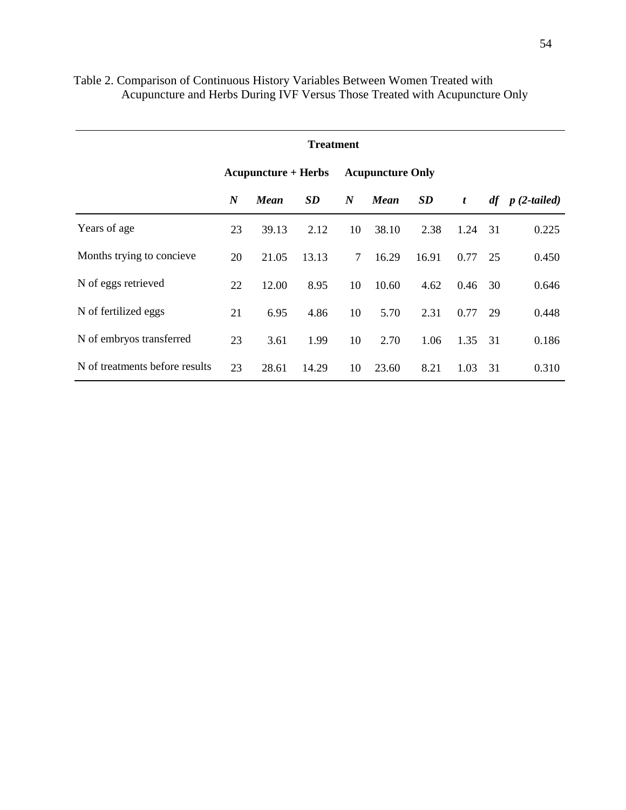| <b>Treatment</b>               |                  |                            |           |                  |                         |       |                  |    |                   |  |  |  |  |
|--------------------------------|------------------|----------------------------|-----------|------------------|-------------------------|-------|------------------|----|-------------------|--|--|--|--|
|                                |                  | <b>Acupuncture + Herbs</b> |           |                  | <b>Acupuncture Only</b> |       |                  |    |                   |  |  |  |  |
|                                | $\boldsymbol{N}$ | <b>Mean</b>                | <b>SD</b> | $\boldsymbol{N}$ | <b>Mean</b>             | SD    | $\boldsymbol{t}$ |    | $df$ p (2-tailed) |  |  |  |  |
| Years of age                   | 23               | 39.13                      | 2.12      | 10               | 38.10                   | 2.38  | 1.24             | 31 | 0.225             |  |  |  |  |
| Months trying to concieve      | 20               | 21.05                      | 13.13     | $\tau$           | 16.29                   | 16.91 | 0.77             | 25 | 0.450             |  |  |  |  |
| N of eggs retrieved            | 22               | 12.00                      | 8.95      | 10               | 10.60                   | 4.62  | 0.46             | 30 | 0.646             |  |  |  |  |
| N of fertilized eggs           | 21               | 6.95                       | 4.86      | 10               | 5.70                    | 2.31  | 0.77             | 29 | 0.448             |  |  |  |  |
| N of embryos transferred       | 23               | 3.61                       | 1.99      | 10               | 2.70                    | 1.06  | 1.35             | 31 | 0.186             |  |  |  |  |
| N of treatments before results | 23               | 28.61                      | 14.29     | 10               | 23.60                   | 8.21  | 1.03             | 31 | 0.310             |  |  |  |  |

# Table 2. Comparison of Continuous History Variables Between Women Treated with Acupuncture and Herbs During IVF Versus Those Treated with Acupuncture Only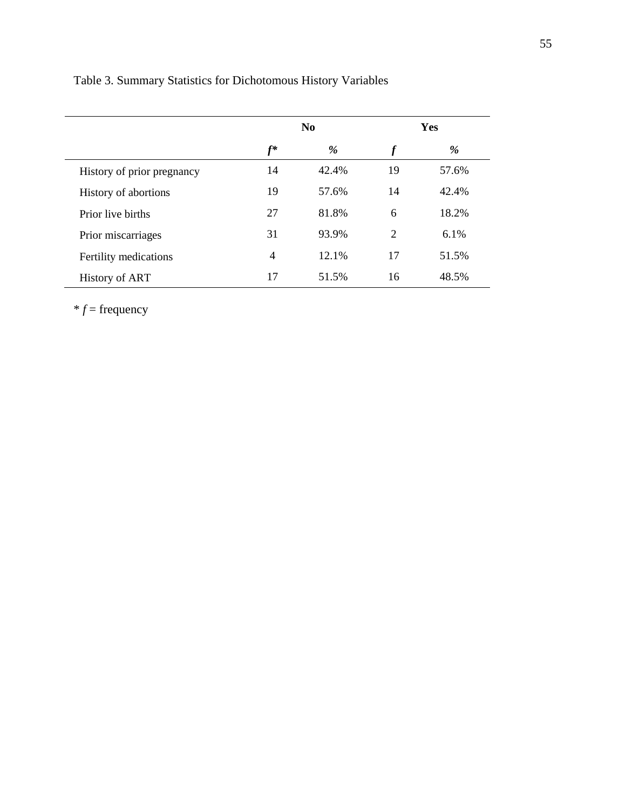|                            |                | N <sub>0</sub> |                  | Yes     |
|----------------------------|----------------|----------------|------------------|---------|
|                            | $f^*$          | %              | $\boldsymbol{f}$ | %       |
| History of prior pregnancy | 14             | 42.4%          | 19               | 57.6%   |
| History of abortions       | 19             | 57.6%          | 14               | 42.4%   |
| Prior live births          | 27             | 81.8%          | 6                | 18.2%   |
| Prior miscarriages         | 31             | 93.9%          | 2                | $6.1\%$ |
| Fertility medications      | $\overline{4}$ | 12.1%          | 17               | 51.5%   |
| <b>History of ART</b>      | 17             | 51.5%          | 16               | 48.5%   |

 $*$   $f$  = frequency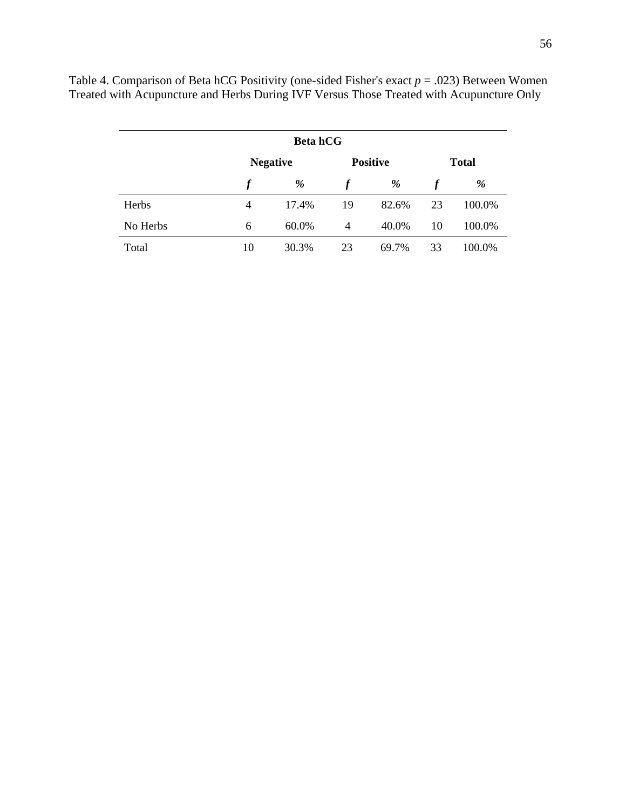|          | <b>Beta hCG</b> |                 |    |                 |              |        |  |  |  |  |  |  |
|----------|-----------------|-----------------|----|-----------------|--------------|--------|--|--|--|--|--|--|
|          |                 | <b>Negative</b> |    | <b>Positive</b> | <b>Total</b> |        |  |  |  |  |  |  |
|          |                 | %               |    | %               |              | %      |  |  |  |  |  |  |
| Herbs    | 4               | 17.4%           | 19 | 82.6%           | 23           | 100.0% |  |  |  |  |  |  |
| No Herbs | 6               | 60.0%           | 4  | 40.0%           | 10           | 100.0% |  |  |  |  |  |  |
| Total    | 10              | 30.3%           | 23 | 69.7%           | 33           | 100.0% |  |  |  |  |  |  |

Table 4. Comparison of Beta hCG Positivity (one-sided Fisher's exact *p* = .023) Between Women Treated with Acupuncture and Herbs During IVF Versus Those Treated with Acupuncture Only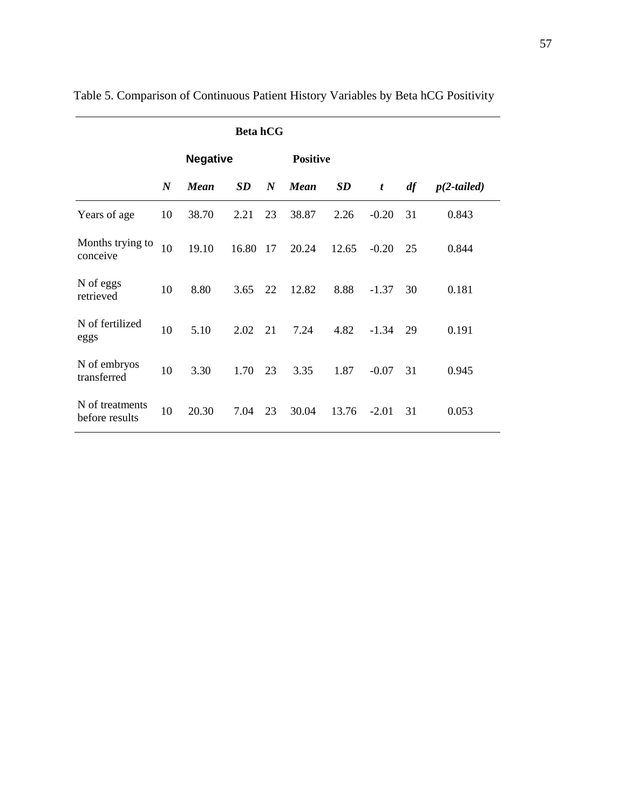|                                   |                  | <b>Negative</b> |           |                  | <b>Positive</b> |           |         |    |               |
|-----------------------------------|------------------|-----------------|-----------|------------------|-----------------|-----------|---------|----|---------------|
|                                   | $\boldsymbol{N}$ | <b>Mean</b>     | <b>SD</b> | $\boldsymbol{N}$ | <b>Mean</b>     | <b>SD</b> | t       | df | $p(2-tailed)$ |
| Years of age                      | 10               | 38.70           | 2.21      | 23               | 38.87           | 2.26      | $-0.20$ | 31 | 0.843         |
| Months trying to<br>conceive      | 10               | 19.10           | 16.80     | 17               | 20.24           | 12.65     | $-0.20$ | 25 | 0.844         |
| N of eggs<br>retrieved            | 10               | 8.80            | 3.65      | 22               | 12.82           | 8.88      | $-1.37$ | 30 | 0.181         |
| N of fertilized<br>eggs           | 10               | 5.10            | 2.02      | 21               | 7.24            | 4.82      | $-1.34$ | 29 | 0.191         |
| N of embryos<br>transferred       | 10               | 3.30            | 1.70      | 23               | 3.35            | 1.87      | $-0.07$ | 31 | 0.945         |
| N of treatments<br>before results | 10               | 20.30           | 7.04      | 23               | 30.04           | 13.76     | $-2.01$ | 31 | 0.053         |

Table 5. Comparison of Continuous Patient History Variables by Beta hCG Positivity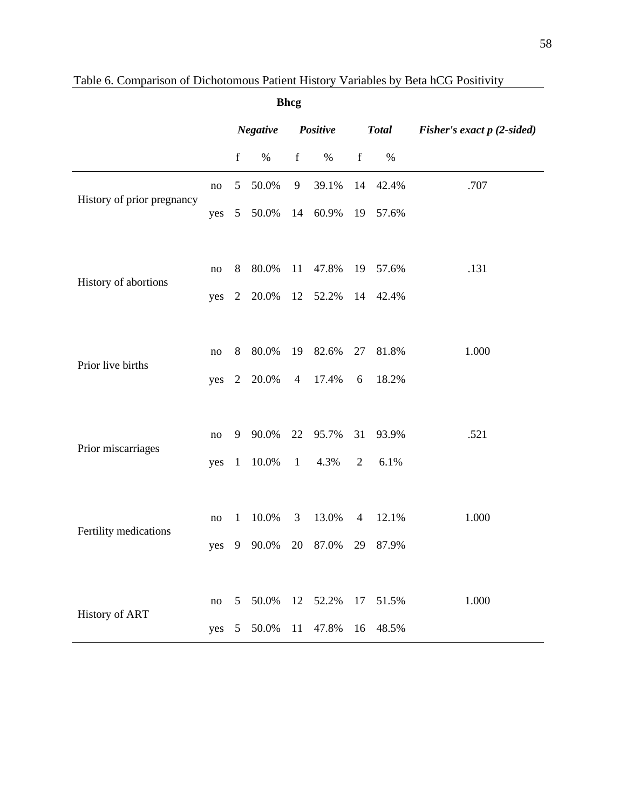| <b>Bhcg</b>                |          |                      |       |                |              |                             |       |       |
|----------------------------|----------|----------------------|-------|----------------|--------------|-----------------------------|-------|-------|
|                            |          | Negative<br>Positive |       |                | <b>Total</b> | Fisher's exact $p(2-sided)$ |       |       |
|                            |          | $\mathbf f$          | $\%$  | $\mathbf f$    | $\%$         | $\mathbf f$                 | $\%$  |       |
|                            | $\rm no$ | 5                    | 50.0% | 9              | 39.1%        | 14                          | 42.4% | .707  |
| History of prior pregnancy | yes      | 5 <sup>5</sup>       | 50.0% |                | 14 60.9%     | 19                          | 57.6% |       |
|                            |          |                      |       |                |              |                             |       |       |
|                            | $\rm no$ | $8\,$                | 80.0% | 11             | 47.8%        | 19                          | 57.6% | .131  |
| History of abortions       | yes      | 2                    | 20.0% | 12             | 52.2%        | 14                          | 42.4% |       |
|                            |          |                      |       |                |              |                             |       |       |
|                            | $\rm no$ | 8                    | 80.0% | 19             | 82.6%        | 27                          | 81.8% | 1.000 |
| Prior live births          | yes      | 2                    | 20.0% | $\overline{4}$ | 17.4%        | 6                           | 18.2% |       |
|                            |          |                      |       |                |              |                             |       |       |
|                            | $\rm no$ | 9                    | 90.0% | 22             | 95.7%        | 31                          | 93.9% | .521  |
| Prior miscarriages         | yes      | $\mathbf{1}$         | 10.0% | $\overline{1}$ | 4.3%         | $\overline{2}$              | 6.1%  |       |
|                            |          |                      |       |                |              |                             |       |       |
|                            | $\rm no$ | $\mathbf{1}$         | 10.0% | 3              | 13.0%        | $\overline{4}$              | 12.1% | 1.000 |
| Fertility medications      | yes      | 9                    | 90.0% | 20             | 87.0%        | 29                          | 87.9% |       |
|                            |          |                      |       |                |              |                             |       |       |
|                            | $\rm no$ | 5                    | 50.0% | 12             | 52.2%        | 17                          | 51.5% | 1.000 |
| <b>History of ART</b>      | yes      | 5                    | 50.0% | 11             | 47.8%        | 16                          | 48.5% |       |

# Table 6. Comparison of Dichotomous Patient History Variables by Beta hCG Positivity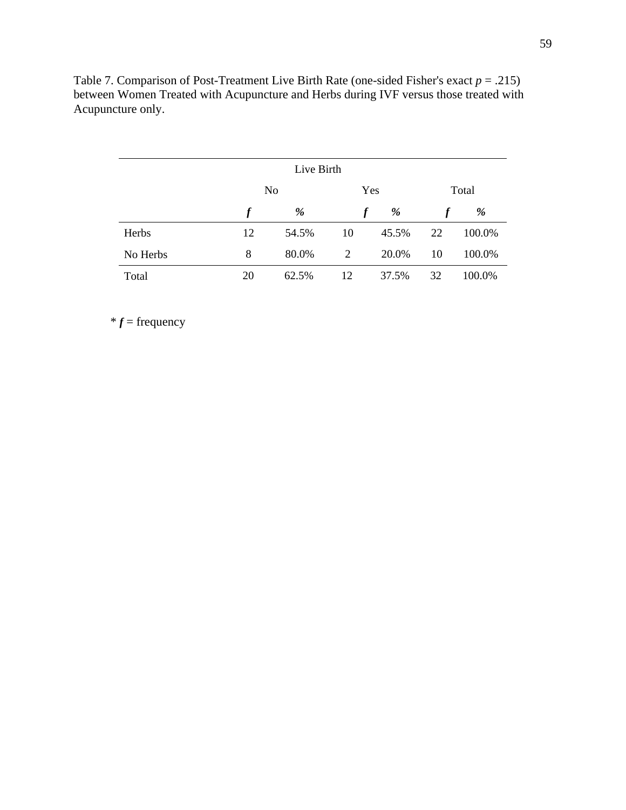|          | Live Birth |       |    |       |       |        |  |  |  |  |  |
|----------|------------|-------|----|-------|-------|--------|--|--|--|--|--|
|          | No         |       |    | Yes   | Total |        |  |  |  |  |  |
|          | f          | %     |    | %     |       | %      |  |  |  |  |  |
| Herbs    | 12         | 54.5% | 10 | 45.5% | 22    | 100.0% |  |  |  |  |  |
| No Herbs | 8          | 80.0% | 2  | 20.0% | 10    | 100.0% |  |  |  |  |  |
| Total    | 20         | 62.5% | 12 | 37.5% | 32    | 100.0% |  |  |  |  |  |

Table 7. Comparison of Post-Treatment Live Birth Rate (one-sided Fisher's exact *p* = .215) between Women Treated with Acupuncture and Herbs during IVF versus those treated with Acupuncture only.

 $*$   $f$  = frequency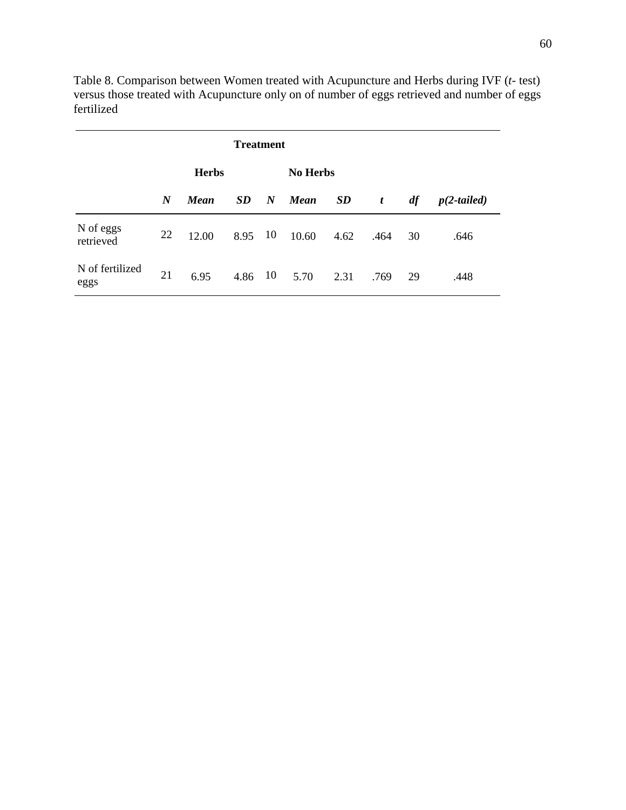|                         |                  | <b>Herbs</b> |           |                  | <b>No Herbs</b> |           |                  |    |               |
|-------------------------|------------------|--------------|-----------|------------------|-----------------|-----------|------------------|----|---------------|
|                         | $\boldsymbol{N}$ | Mean         | SD        | $\boldsymbol{N}$ | <b>Mean</b>     | <b>SD</b> | $\boldsymbol{t}$ | df | $p(2-tailed)$ |
| N of eggs<br>retrieved  | 22               | 12.00        | 8.95      | - 10             | 10.60           | 4.62      | .464             | 30 | .646          |
| N of fertilized<br>eggs | 21               | 6.95         | $4.86$ 10 |                  | 5.70            | 2.31      | .769             | 29 | .448          |

Table 8. Comparison between Women treated with Acupuncture and Herbs during IVF (*t*- test) versus those treated with Acupuncture only on of number of eggs retrieved and number of eggs fertilized